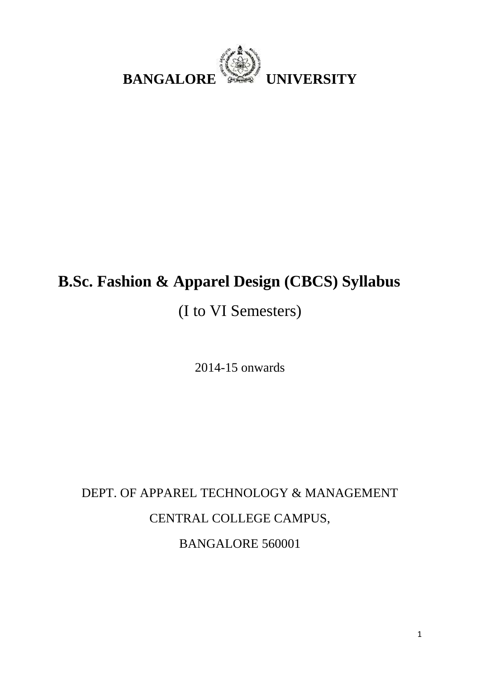

## **B.Sc. Fashion & Apparel Design (CBCS) Syllabus**

## (I to VI Semesters)

2014-15 onwards

## DEPT. OF APPAREL TECHNOLOGY & MANAGEMENT CENTRAL COLLEGE CAMPUS, BANGALORE 560001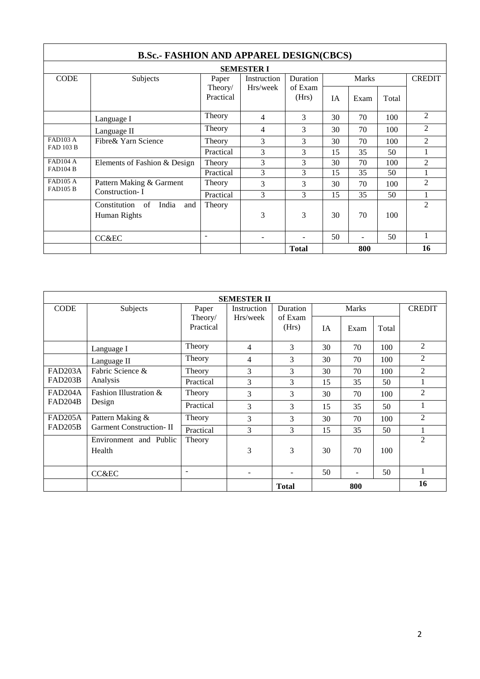| <b>B.Sc.- FASHION AND APPAREL DESIGN(CBCS)</b> |                                 |                      |                          |                  |    |              |       |                |
|------------------------------------------------|---------------------------------|----------------------|--------------------------|------------------|----|--------------|-------|----------------|
|                                                | <b>SEMESTER I</b>               |                      |                          |                  |    |              |       |                |
| <b>CODE</b>                                    | Subjects                        | Instruction<br>Paper |                          | Duration         |    | <b>Marks</b> |       | <b>CREDIT</b>  |
|                                                |                                 | Theory/<br>Practical | Hrs/week                 | of Exam<br>(Hrs) | IA | Exam         | Total |                |
|                                                | Language I                      | Theory               | 4                        | 3                | 30 | 70           | 100   | $\overline{2}$ |
|                                                | Language II                     | Theory               | 4                        | 3                | 30 | 70           | 100   | 2              |
| <b>FAD103 A</b><br><b>FAD 103 B</b>            | Fibre & Yarn Science            | Theory               | 3                        | 3                | 30 | 70           | 100   | $\overline{c}$ |
|                                                |                                 | Practical            | 3                        | 3                | 15 | 35           | 50    |                |
| <b>FAD104 A</b>                                | Elements of Fashion & Design    | Theory               | 3                        | 3                | 30 | 70           | 100   | $\overline{c}$ |
| <b>FAD104 B</b>                                |                                 | Practical            | 3                        | 3                | 15 | 35           | 50    |                |
| <b>FAD105 A</b><br><b>FAD105 B</b>             | Pattern Making & Garment        | Theory               | 3                        | 3                | 30 | 70           | 100   | $\overline{c}$ |
|                                                | Construction-I                  | Practical            | 3                        | 3                | 15 | 35           | 50    |                |
|                                                | India<br>Constitution of<br>and | Theory               |                          |                  |    |              |       | $\overline{c}$ |
|                                                | Human Rights                    |                      | 3                        | 3                | 30 | 70           | 100   |                |
|                                                | CC&EC                           | ۰                    | $\overline{\phantom{a}}$ |                  | 50 |              | 50    |                |
|                                                |                                 |                      |                          | <b>Total</b>     |    | 800          |       | 16             |

| <b>SEMESTER II</b> |                                  |                          |             |                  |    |                          |               |                |
|--------------------|----------------------------------|--------------------------|-------------|------------------|----|--------------------------|---------------|----------------|
| <b>CODE</b>        | Subjects                         | Paper                    | Instruction | Duration         |    | Marks                    | <b>CREDIT</b> |                |
|                    |                                  | Theory/<br>Practical     | Hrs/week    | of Exam<br>(Hrs) | IA | Exam                     | Total         |                |
|                    | Language I                       | Theory                   | 4           | 3                | 30 | 70                       | 100           | $\overline{2}$ |
|                    | Language II                      | Theory                   | 4           | 3                | 30 | 70                       | 100           | $\overline{2}$ |
| <b>FAD203A</b>     | Fabric Science &                 | Theory                   | 3           | 3                | 30 | 70                       | 100           | $\overline{2}$ |
| FAD203B            | Analysis                         | Practical                | 3           | 3                | 15 | 35                       | 50            | 1              |
| FAD204A            | Fashion Illustration &           | Theory                   | 3           | 3                | 30 | 70                       | 100           | $\overline{2}$ |
| FAD204B            | Design                           | Practical                | 3           | 3                | 15 | 35                       | 50            | 1              |
| FAD205A            | Pattern Making &                 | Theory                   | 3           | 3                | 30 | 70                       | 100           | $\overline{2}$ |
| FAD205B            | <b>Garment Construction-II</b>   | Practical                | 3           | 3                | 15 | 35                       | 50            | 1              |
|                    | Environment and Public<br>Health | Theory                   | 3           | 3                | 30 | 70                       | 100           | $\overline{2}$ |
|                    | CC&EC                            | $\overline{\phantom{0}}$ | -           |                  | 50 | $\overline{\phantom{a}}$ | 50            | 1              |
|                    |                                  |                          |             | <b>Total</b>     |    | 800                      |               | 16             |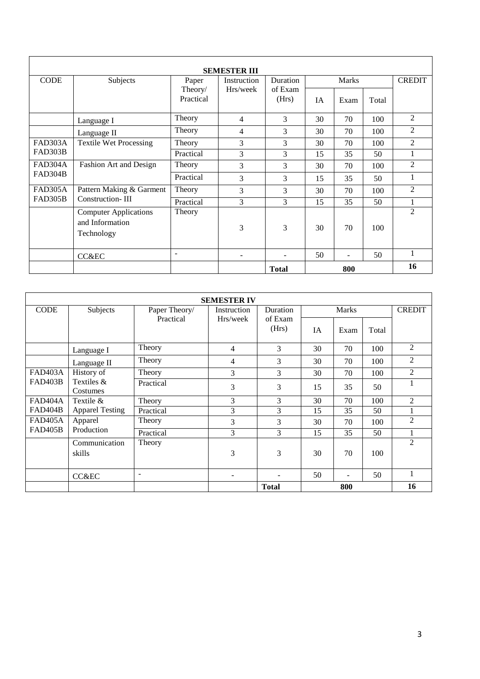| <b>SEMESTER III</b> |                                                               |                          |                          |                  |              |                          |       |                |
|---------------------|---------------------------------------------------------------|--------------------------|--------------------------|------------------|--------------|--------------------------|-------|----------------|
| <b>CODE</b>         | Subjects                                                      | Paper                    | Instruction              | Duration         | <b>Marks</b> |                          |       | <b>CREDIT</b>  |
|                     |                                                               | Theory/<br>Practical     | Hrs/week                 | of Exam<br>(Hrs) | <b>IA</b>    | Exam                     | Total |                |
|                     | Language I                                                    | Theory                   | 4                        | 3                | 30           | 70                       | 100   | 2              |
|                     | Language II                                                   | Theory                   | 4                        | 3                | 30           | 70                       | 100   | $\overline{2}$ |
| FAD303A             | <b>Textile Wet Processing</b>                                 | Theory                   | 3                        | 3                | 30           | 70                       | 100   | 2              |
| FAD303B             |                                                               | Practical                | 3                        | 3                | 15           | 35                       | 50    | 1              |
| FAD304A             | Fashion Art and Design                                        | Theory                   | 3                        | 3                | 30           | 70                       | 100   | $\overline{2}$ |
| FAD304B             |                                                               | Practical                | 3                        | 3                | 15           | 35                       | 50    | $\bf{l}$       |
| FAD305A             | Pattern Making & Garment                                      | Theory                   | 3                        | 3                | 30           | 70                       | 100   | $\overline{2}$ |
| <b>FAD305B</b>      | <b>Construction-III</b>                                       | Practical                | 3                        | 3                | 15           | 35                       | 50    | 1              |
|                     | <b>Computer Applications</b><br>and Information<br>Technology | Theory                   | 3                        | $\mathcal{E}$    | 30           | 70                       | 100   | $\mathfrak{D}$ |
|                     | <b>CC&amp;EC</b>                                              | $\overline{\phantom{a}}$ | $\overline{\phantom{a}}$ | ۰                | 50           | $\overline{\phantom{0}}$ | 50    | 1              |
|                     |                                                               |                          |                          | <b>Total</b>     |              | 800                      |       | 16             |

| <b>SEMESTER IV</b> |                         |                          |             |                  |              |      |       |                |
|--------------------|-------------------------|--------------------------|-------------|------------------|--------------|------|-------|----------------|
| <b>CODE</b>        | Subjects                | Paper Theory/            | Instruction | Duration         | <b>Marks</b> |      |       | <b>CREDIT</b>  |
|                    |                         | Practical                | Hrs/week    | of Exam<br>(Hrs) | IA           | Exam | Total |                |
|                    | Language I              | Theory                   | 4           | 3                | 30           | 70   | 100   | 2              |
|                    | Language II             | Theory                   | 4           | 3                | 30           | 70   | 100   | 2              |
| FAD403A            | History of              | Theory                   | 3           | 3                | 30           | 70   | 100   | $\overline{c}$ |
| <b>FAD403B</b>     | Textiles &<br>Costumes  | Practical                | 3           | 3                | 15           | 35   | 50    |                |
| FAD404A            | Textile &               | Theory                   | 3           | 3                | 30           | 70   | 100   | $\overline{2}$ |
| FAD404B            | <b>Apparel Testing</b>  | Practical                | 3           | 3                | 15           | 35   | 50    |                |
| <b>FAD405A</b>     | Apparel                 | Theory                   | 3           | 3                | 30           | 70   | 100   | 2              |
| <b>FAD405B</b>     | Production              | Practical                | 3           | 3                | 15           | 35   | 50    |                |
|                    | Communication<br>skills | Theory                   | 3           | 3                | 30           | 70   | 100   | $\mathfrak{D}$ |
|                    | CC&EC                   | $\overline{\phantom{a}}$ |             |                  | 50           |      | 50    |                |
|                    |                         |                          |             | <b>Total</b>     |              | 800  |       | 16             |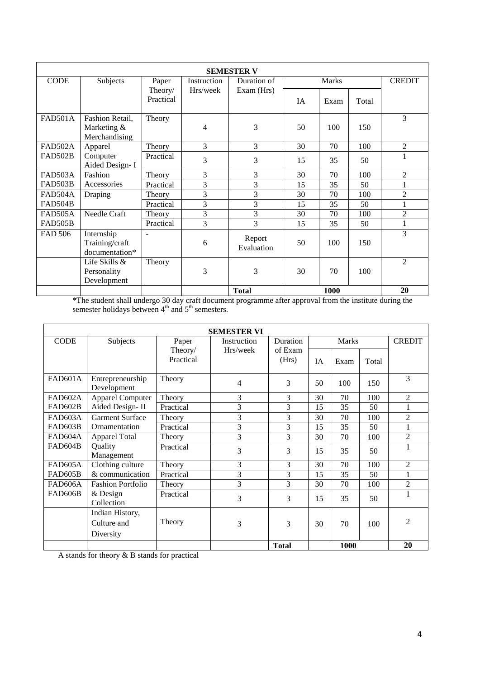| <b>SEMESTER V</b> |                 |           |                |                      |           |              |       |                |
|-------------------|-----------------|-----------|----------------|----------------------|-----------|--------------|-------|----------------|
| <b>CODE</b>       | Subjects        | Paper     | Instruction    | Duration of          |           | <b>Marks</b> |       |                |
|                   |                 | Theory/   | Hrs/week       | Exam (Hrs)           |           |              |       |                |
|                   |                 | Practical |                |                      | <b>IA</b> | Exam         | Total |                |
| FAD501A           | Fashion Retail, | Theory    |                |                      |           |              |       | 3              |
|                   | Marketing &     |           | 4              | 3                    | 50        | 100          | 150   |                |
|                   | Merchandising   |           |                |                      |           |              |       |                |
| <b>FAD502A</b>    | Apparel         | Theory    | 3              | 3                    | 30        | 70           | 100   | $\overline{2}$ |
| FAD502B           | Computer        | Practical | 3              | 3                    | 15        | 35           | 50    | 1              |
|                   | Aided Design- I |           |                |                      |           |              |       |                |
| FAD503A           | Fashion         | Theory    | 3              | 3                    | 30        | 70           | 100   | $\overline{2}$ |
| FAD503B           | Accessories     | Practical | 3              | 3                    | 15        | 35           | 50    | 1              |
| FAD504A           | Draping         | Theory    | $\overline{3}$ | 3                    | 30        | 70           | 100   | $\overline{2}$ |
| FAD504B           |                 | Practical | 3              | 3                    | 15        | 35           | 50    | $\mathbf{1}$   |
| FAD505A           | Needle Craft    | Theory    | 3              | 3                    | 30        | 70           | 100   | $\overline{2}$ |
| <b>FAD505B</b>    |                 | Practical | 3              | 3                    | 15        | 35           | 50    | 1              |
| <b>FAD 506</b>    | Internship      |           |                |                      |           |              |       | 3              |
|                   | Training/craft  |           | 6              | Report<br>Evaluation | 50        | 100          | 150   |                |
|                   | documentation*  |           |                |                      |           |              |       |                |
|                   | Life Skills &   | Theory    |                |                      |           |              |       | $\overline{2}$ |
|                   | Personality     |           | 3              | 3                    | 30        | 70           | 100   |                |
|                   | Development     |           |                |                      |           |              |       |                |
|                   |                 |           |                | <b>Total</b>         |           | 1000         |       | 20             |

\*The student shall undergo 30 day craft document programme after approval from the institute during the semester holidays between  $4<sup>th</sup>$  and  $5<sup>th</sup>$  semesters.

|                | <b>SEMESTER VI</b>              |                      |             |                  |           |              |       |                |
|----------------|---------------------------------|----------------------|-------------|------------------|-----------|--------------|-------|----------------|
| <b>CODE</b>    | Subjects                        | Paper                | Instruction | Duration         |           | <b>Marks</b> |       | <b>CREDIT</b>  |
|                |                                 | Theory/<br>Practical | Hrs/week    | of Exam<br>(Hrs) | <b>IA</b> | Exam         | Total |                |
|                |                                 |                      |             |                  |           |              |       |                |
| <b>FAD601A</b> | Entrepreneurship<br>Development | Theory               | 4           | 3                | 50        | 100          | 150   | 3              |
| FAD602A        | <b>Apparel Computer</b>         | Theory               | 3           | 3                | 30        | 70           | 100   | $\overline{2}$ |
| FAD602B        | Aided Design-II                 | Practical            | 3           | 3                | 15        | 35           | 50    |                |
| FAD603A        | <b>Garment Surface</b>          | Theory               | 3           | 3                | 30        | 70           | 100   | $\overline{2}$ |
| FAD603B        | Ornamentation                   | Practical            | 3           | 3                | 15        | 35           | 50    |                |
| FAD604A        | <b>Apparel Total</b>            | Theory               | 3           | 3                | 30        | 70           | 100   | $\overline{2}$ |
| FAD604B        | Quality<br>Management           | Practical            | 3           | 3                | 15        | 35           | 50    |                |
| FAD605A        | Clothing culture                | Theory               | 3           | 3                | 30        | 70           | 100   | 2              |
| FAD605B        | & communication                 | Practical            | 3           | 3                | 15        | 35           | 50    |                |
| FAD606A        | <b>Fashion Portfolio</b>        | Theory               | 3           | 3                | 30        | 70           | 100   | $\overline{2}$ |
| FAD606B        | $&$ Design<br>Collection        | Practical            | 3           | 3                | 15        | 35           | 50    |                |
|                | Indian History,                 |                      |             |                  |           |              |       |                |
|                | Culture and                     | Theory               | 3           | 3                | 30        | 70           | 100   | $\overline{2}$ |
|                | Diversity                       |                      |             |                  |           |              |       |                |
|                |                                 |                      |             | <b>Total</b>     |           | 1000         |       | 20             |

A stands for theory & B stands for practical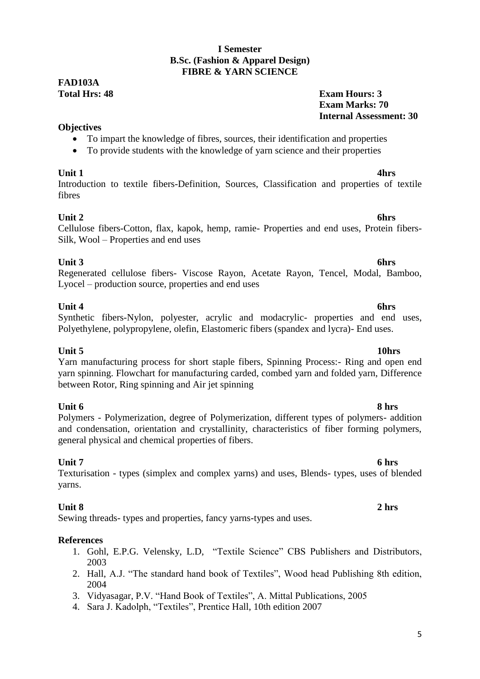### **I Semester B.Sc. (Fashion & Apparel Design) FIBRE & YARN SCIENCE**

## **FAD103A**

### **Total Hrs: 48 Exam Hours: 3 Exam Marks: 70 Internal Assessment: 30**

### **Objectives**

- To impart the knowledge of fibres, sources, their identification and properties
- To provide students with the knowledge of yarn science and their properties

**Unit 1 4hrs** Introduction to textile fibers-Definition, Sources, Classification and properties of textile fibres

**Unit 2 6hrs** Cellulose fibers-Cotton, flax, kapok, hemp, ramie- Properties and end uses, Protein fibers-Silk, Wool – Properties and end uses

### **Unit 3 6hrs**

Regenerated cellulose fibers- Viscose Rayon, Acetate Rayon, Tencel, Modal, Bamboo, Lyocel – production source, properties and end uses

### **Unit 4 6hrs**

### Synthetic fibers-Nylon, polyester, acrylic and modacrylic- properties and end uses, Polyethylene, polypropylene, olefin, Elastomeric fibers (spandex and lycra)- End uses.

**Unit 5 10hrs** Yarn manufacturing process for short staple fibers, Spinning Process:- Ring and open end yarn spinning. Flowchart for manufacturing carded, combed yarn and folded yarn, Difference between Rotor, Ring spinning and Air jet spinning

**Unit 6** 8 hrs Polymers - Polymerization, degree of Polymerization, different types of polymers- addition and condensation, orientation and crystallinity, characteristics of fiber forming polymers, general physical and chemical properties of fibers.

**Unit 7 6 hrs** Texturisation - types (simplex and complex yarns) and uses, Blends- types, uses of blended yarns.

### **Unit 8 2 hrs**

Sewing threads- types and properties, fancy yarns-types and uses.

### **References**

- 1. Gohl, E.P.G. Velensky, L.D, "Textile Science" CBS Publishers and Distributors, 2003
- 2. Hall, A.J. "The standard hand book of Textiles", Wood head Publishing 8th edition, 2004
- 3. Vidyasagar, P.V. "Hand Book of Textiles", A. Mittal Publications, 2005
- 4. Sara J. Kadolph, "Textiles", Prentice Hall, 10th edition 2007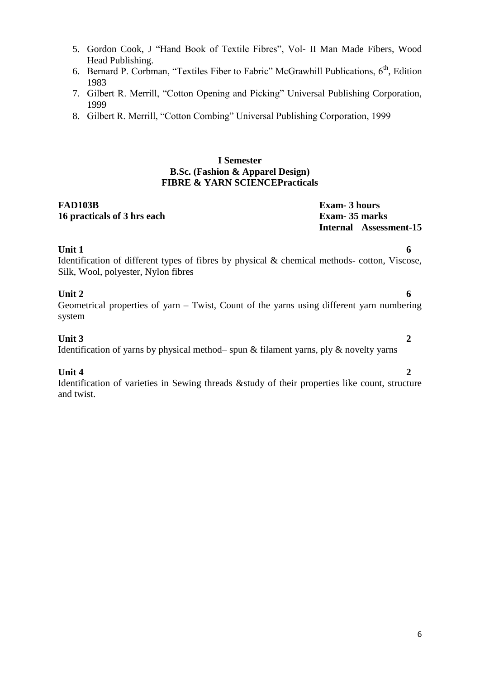- 5. Gordon Cook, J "Hand Book of Textile Fibres", Vol- II Man Made Fibers, Wood Head Publishing.
- 6. Bernard P. Corbman, "Textiles Fiber to Fabric" McGrawhill Publications,  $6<sup>th</sup>$ , Edition 1983
- 7. Gilbert R. Merrill, "Cotton Opening and Picking" Universal Publishing Corporation, 1999
- 8. Gilbert R. Merrill, "Cotton Combing" Universal Publishing Corporation, 1999

### **I Semester B.Sc. (Fashion & Apparel Design) FIBRE & YARN SCIENCEPracticals**

#### **FAD103B Exam- 3 hours 16 practicals of 3 hrs each Exam- 35 marks**

**Internal Assessment-15**

**Unit 1 6** Identification of different types of fibres by physical & chemical methods- cotton, Viscose, Silk, Wool, polyester, Nylon fibres

### **Unit 2 6**

Geometrical properties of yarn – Twist, Count of the yarns using different yarn numbering system

### **Unit 3 2**

Identification of yarns by physical method– spun & filament yarns, ply & novelty yarns

### **Unit 4 2**

Identification of varieties in Sewing threads &study of their properties like count, structure and twist.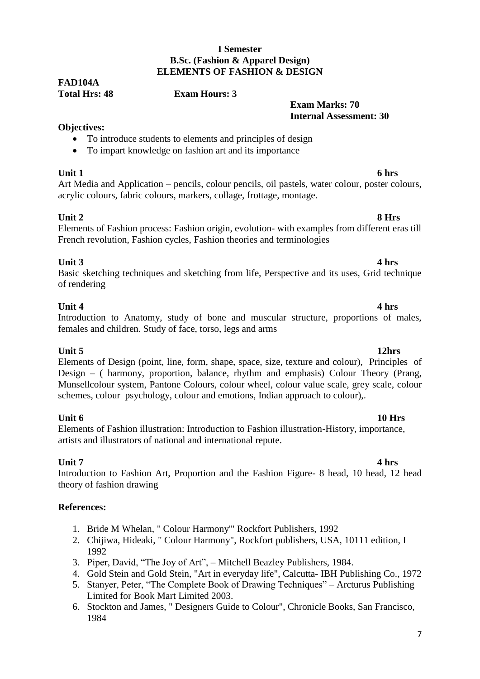### **I Semester B.Sc. (Fashion & Apparel Design) ELEMENTS OF FASHION & DESIGN**

## **FAD104A**

### **Total Hrs: 48 Exam Hours: 3**

### **Exam Marks: 70 Internal Assessment: 30**

### **Objectives:**

- To introduce students to elements and principles of design
- To impart knowledge on fashion art and its importance

**Unit 1 6 hrs** Art Media and Application – pencils, colour pencils, oil pastels, water colour, poster colours, acrylic colours, fabric colours, markers, collage, frottage, montage.

### **Unit 2 8 Hrs**

### Elements of Fashion process: Fashion origin, evolution- with examples from different eras till French revolution, Fashion cycles, Fashion theories and terminologies

### **Unit 3 4 hrs**

### Basic sketching techniques and sketching from life, Perspective and its uses, Grid technique of rendering

### **Unit 4 4 hrs**

#### Introduction to Anatomy, study of bone and muscular structure, proportions of males, females and children. Study of face, torso, legs and arms

**Unit 5 12hrs** Elements of Design (point, line, form, shape, space, size, texture and colour), Principles of Design – ( harmony, proportion, balance, rhythm and emphasis) Colour Theory (Prang, Munsellcolour system, Pantone Colours, colour wheel, colour value scale, grey scale, colour schemes, colour psychology, colour and emotions, Indian approach to colour)...

**Unit 6 10 Hrs** Elements of Fashion illustration: Introduction to Fashion illustration-History, importance, artists and illustrators of national and international repute.

**Unit 7 4 hrs** Introduction to Fashion Art, Proportion and the Fashion Figure- 8 head, 10 head, 12 head theory of fashion drawing

### **References:**

- 1. Bride M Whelan, " Colour Harmony'" Rockfort Publishers, 1992
- 2. Chijiwa, Hideaki, " Colour Harmony", Rockfort publishers, USA, 10111 edition, I 1992
- 3. Piper, David, "The Joy of Art", Mitchell Beazley Publishers, 1984.
- 4. Gold Stein and Gold Stein, "Art in everyday life", Calcutta- IBH Publishing Co., 1972
- 5. Stanyer, Peter, "The Complete Book of Drawing Techniques" Arcturus Publishing Limited for Book Mart Limited 2003.
- 6. Stockton and James, " Designers Guide to Colour", Chronicle Books, San Francisco, 1984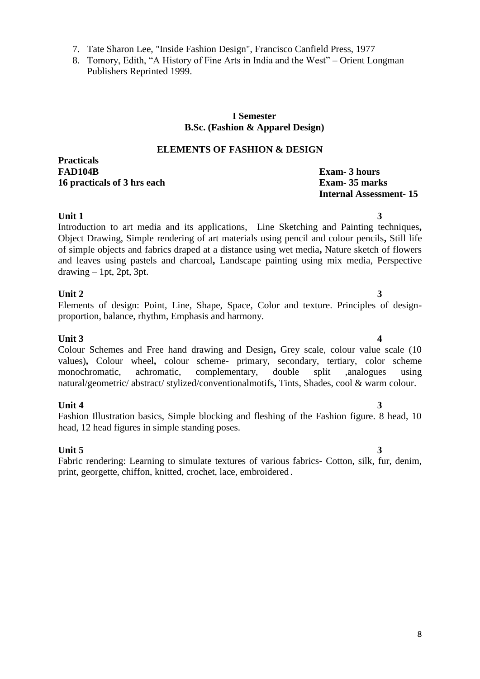8. Tomory, Edith, "A History of Fine Arts in India and the West" – Orient Longman Publishers Reprinted 1999.

### **I Semester B.Sc. (Fashion & Apparel Design)**

### **ELEMENTS OF FASHION & DESIGN**

**Practicals FAD104B Exam- 3 hours 16 practicals of 3 hrs each Exam- 35 marks**

# **Internal Assessment- 15**

**Unit 1 3** Introduction to art media and its applications, Line Sketching and Painting techniques**,**  Object Drawing, Simple rendering of art materials using pencil and colour pencils**,** Still life of simple objects and fabrics draped at a distance using wet media**,** Nature sketch of flowers and leaves using pastels and charcoal**,** Landscape painting using mix media, Perspective  $d$ rawing  $-1$ pt, 2pt, 3pt.

### **Unit 2** 3

### Elements of design: Point, Line, Shape, Space, Color and texture. Principles of designproportion, balance, rhythm, Emphasis and harmony.

#### **Unit 3** 4 Colour Schemes and Free hand drawing and Design**,** Grey scale, colour value scale (10 values)**,** Colour wheel**,** colour scheme- primary, secondary, tertiary, color scheme monochromatic, achromatic, complementary, double split ,analogues using natural/geometric/ abstract/ stylized/conventionalmotifs**,** Tints, Shades, cool & warm colour.

**Unit 4 3** Fashion Illustration basics, Simple blocking and fleshing of the Fashion figure. 8 head, 10 head, 12 head figures in simple standing poses.

#### **Unit 5 3** Fabric rendering: Learning to simulate textures of various fabrics- Cotton, silk, fur, denim, print, georgette, chiffon, knitted, crochet, lace, embroidered .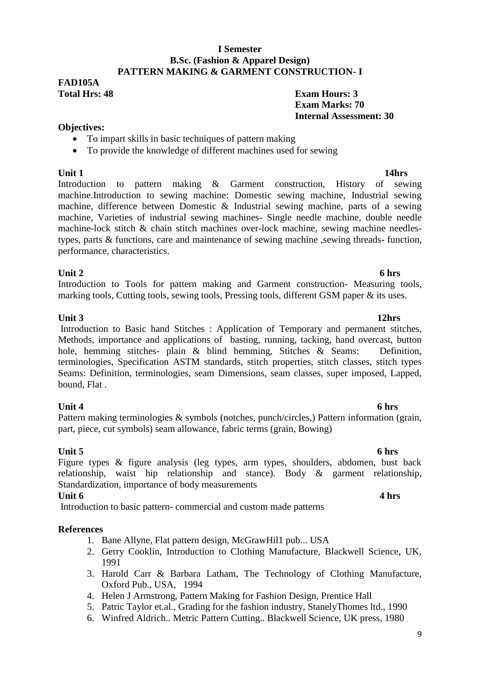#### **I Semester B.Sc. (Fashion & Apparel Design) PATTERN MAKING & GARMENT CONSTRUCTION- I**

## **FAD105A**

**Total Hrs: 48 Exam Hours: 3 Exam Marks: 70 Internal Assessment: 30**

### **Objectives:**

- To impart skills in basic techniques of pattern making
- To provide the knowledge of different machines used for sewing

**Unit 1** 14hrs Introduction to pattern making & Garment construction, History of sewing machine.Introduction to sewing machine: Domestic sewing machine, Industrial sewing machine, difference between Domestic & Industrial sewing machine, parts of a sewing machine, Varieties of industrial sewing machines- Single needle machine, double needle machine-lock stitch & chain stitch machines over-lock machine, sewing machine needlestypes, parts & functions, care and maintenance of sewing machine ,sewing threads- function, performance, characteristics.

### **Unit 2 6 hrs**

Introduction to Tools for pattern making and Garment construction- Measuring tools, marking tools, Cutting tools, sewing tools, Pressing tools, different GSM paper & its uses.

### **Unit 3 12hrs**

Introduction to Basic hand Stitches : Application of Temporary and permanent stitches, Methods, importance and applications of basting, running, tacking, hand overcast, button hole, hemming stitches- plain & blind hemming, Stitches & Seams: Definition, terminologies, Specification ASTM standards, stitch properties, stitch classes, stitch types Seams: Definition, terminologies, seam Dimensions, seam classes, super imposed, Lapped, bound, Flat .

### **Unit 4 6 hrs**

Pattern making terminologies & symbols (notches, punch/circles,) Pattern information (grain, part, piece, cut symbols) seam allowance, fabric terms (grain, Bowing)

**Unit 5** 6 hrs Figure types & figure analysis (leg types, arm types, shoulders, abdomen, bust back relationship, waist hip relationship and stance). Body & garment relationship, Standardization, importance of body measurements **Unit 6 4 hrs**

Introduction to basic pattern- commercial and custom made patterns

### **References**

- 1. Bane Allyne, Flat pattern design, McGrawHil1 pub... USA
- 2. Gerry Cooklin, Introduction to Clothing Manufacture, Blackwell Science, UK, 1991
- 3. Harold Carr & Barbara Latham, The Technology of Clothing Manufacture, Oxford Pub., USA, 1994
- 4. Helen J Armstrong, Pattern Making for Fashion Design, Prentice Hall
- 5. Patric Taylor et.al., Grading for the fashion industry, StanelyThomes ltd., 1990
- 6. Winfred Aldrich.. Metric Pattern Cutting.. Blackwell Science, UK press, 1980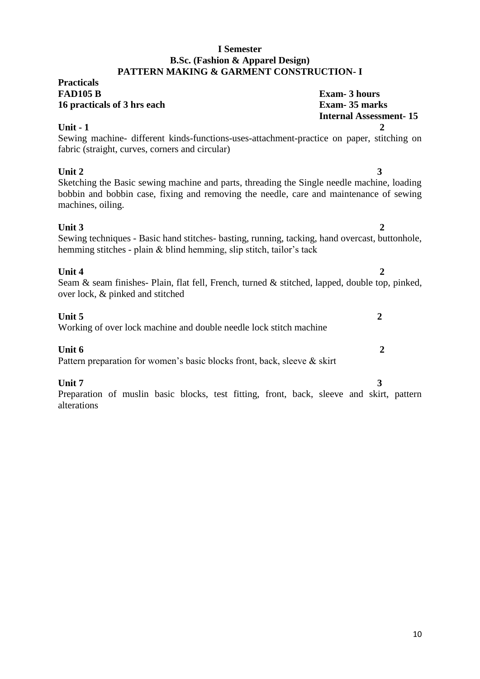#### **I Semester B.Sc. (Fashion & Apparel Design) PATTERN MAKING & GARMENT CONSTRUCTION- I**

#### **Practicals FAD105 B Exam- 3 hours 16 practicals of 3 hrs each Exam- 35 marks**

**Internal Assessment- 15**

**Unit - 1 2** Sewing machine- different kinds-functions-uses-attachment-practice on paper, stitching on fabric (straight, curves, corners and circular)

**Unit 2 3** Sketching the Basic sewing machine and parts, threading the Single needle machine, loading bobbin and bobbin case, fixing and removing the needle, care and maintenance of sewing machines, oiling.

#### **Unit 3 2** Sewing techniques - Basic hand stitches- basting, running, tacking, hand overcast, buttonhole, hemming stitches - plain & blind hemming, slip stitch, tailor's tack

**Unit 4 2** Seam & seam finishes- Plain, flat fell, French, turned & stitched, lapped, double top, pinked, over lock, & pinked and stitched

### **Unit 5 2**

Working of over lock machine and double needle lock stitch machine

### **Unit 6 2**

Pattern preparation for women's basic blocks front, back, sleeve & skirt

### **Unit 7 3**

Preparation of muslin basic blocks, test fitting, front, back, sleeve and skirt, pattern alterations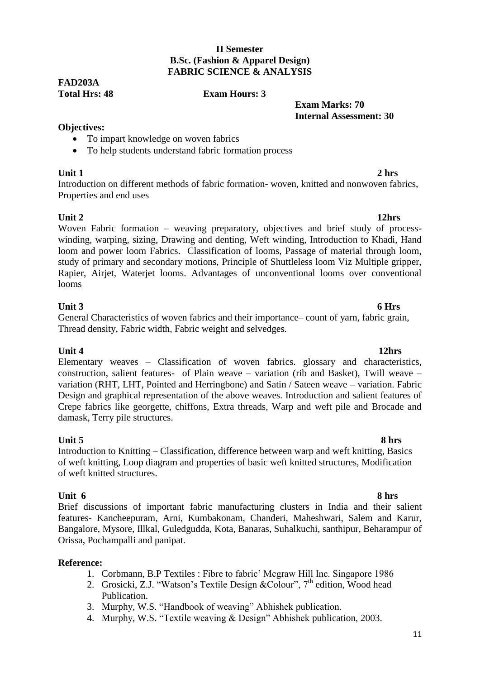### **II Semester B.Sc. (Fashion & Apparel Design) FABRIC SCIENCE & ANALYSIS**

## **FAD203A**

### **Total Hrs: 48 Exam Hours: 3**

 **Exam Marks: 70 Internal Assessment: 30**

### **Objectives:**

- To impart knowledge on woven fabrics
- To help students understand fabric formation process

**Unit 1 2 hrs** Introduction on different methods of fabric formation- woven, knitted and nonwoven fabrics, Properties and end uses

**Unit 2 12hrs** Woven Fabric formation – weaving preparatory, objectives and brief study of processwinding, warping, sizing, Drawing and denting, Weft winding, Introduction to Khadi, Hand loom and power loom Fabrics. Classification of looms, Passage of material through loom, study of primary and secondary motions, Principle of Shuttleless loom Viz Multiple gripper, Rapier, Airjet, Waterjet looms. Advantages of unconventional looms over conventional looms

### **Unit 3 6 Hrs**

General Characteristics of woven fabrics and their importance– count of yarn, fabric grain, Thread density, Fabric width, Fabric weight and selvedges.

**Unit 4 12hrs** Elementary weaves – Classification of woven fabrics. glossary and characteristics, construction, salient features- of Plain weave – variation (rib and Basket), Twill weave – variation (RHT, LHT, Pointed and Herringbone) and Satin / Sateen weave – variation. Fabric Design and graphical representation of the above weaves. Introduction and salient features of Crepe fabrics like georgette, chiffons, Extra threads, Warp and weft pile and Brocade and damask, Terry pile structures.

**Unit 5** 8 hrs Introduction to Knitting – Classification, difference between warp and weft knitting, Basics of weft knitting, Loop diagram and properties of basic weft knitted structures, Modification of weft knitted structures.

**Unit 6 8 hrs** Brief discussions of important fabric manufacturing clusters in India and their salient features- Kancheepuram, Arni, Kumbakonam, Chanderi, Maheshwari, Salem and Karur, Bangalore, Mysore, Illkal, Guledgudda, Kota, Banaras, Suhalkuchi, santhipur, Beharampur of Orissa, Pochampalli and panipat.

### **Reference:**

- 1. Corbmann, B.P Textiles : Fibre to fabric' Mcgraw Hill Inc. Singapore 1986
- 2. Grosicki, Z.J. "Watson's Textile Design &Colour",  $7<sup>th</sup>$  edition, Wood head Publication.
- 3. Murphy, W.S. "Handbook of weaving" Abhishek publication.
- 4. Murphy, W.S. "Textile weaving & Design" Abhishek publication, 2003.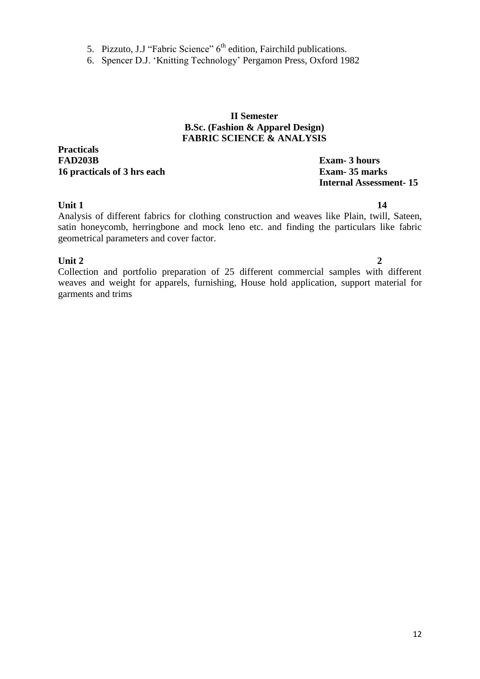- 5. Pizzuto, J.J "Fabric Science"  $6<sup>th</sup>$  edition, Fairchild publications.
- 6. Spencer D.J. ‗Knitting Technology' Pergamon Press, Oxford 1982

#### **II Semester B.Sc. (Fashion & Apparel Design) FABRIC SCIENCE & ANALYSIS**

**Practicals FAD203B Exam- 3 hours 16 practicals of 3 hrs each Exam- 35 marks**

# **Internal Assessment- 15**

#### **Unit 1 14**

Analysis of different fabrics for clothing construction and weaves like Plain, twill, Sateen, satin honeycomb, herringbone and mock leno etc. and finding the particulars like fabric geometrical parameters and cover factor.

#### **Unit 2** 2

Collection and portfolio preparation of 25 different commercial samples with different weaves and weight for apparels, furnishing, House hold application, support material for garments and trims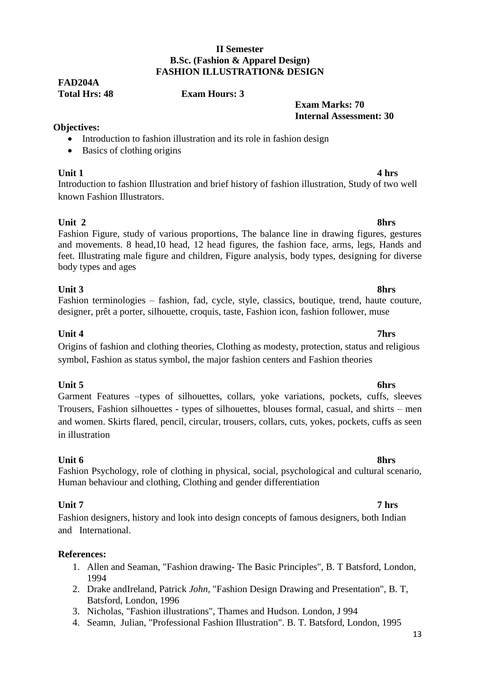### **II Semester B.Sc. (Fashion & Apparel Design) FASHION ILLUSTRATION& DESIGN**

## **FAD204A**

**Total Hrs: 48 Exam Hours: 3**

### **Exam Marks: 70 Internal Assessment: 30**

### **Objectives:**

- Introduction to fashion illustration and its role in fashion design
- Basics of clothing origins

**Unit 1 4 hrs** Introduction to fashion Illustration and brief history of fashion illustration, Study of two well known Fashion Illustrators.

### **Unit 2 8hrs**

### Fashion Figure, study of various proportions, The balance line in drawing figures, gestures and movements. 8 head,10 head, 12 head figures, the fashion face, arms, legs, Hands and feet. Illustrating male figure and children, Figure analysis, body types, designing for diverse body types and ages

### **Unit 3 8hrs**

### Fashion terminologies – fashion, fad, cycle, style, classics, boutique, trend, haute couture, designer, prêt a porter, silhouette, croquis, taste, Fashion icon, fashion follower, muse

### Origins of fashion and clothing theories, Clothing as modesty, protection, status and religious symbol, Fashion as status symbol, the major fashion centers and Fashion theories

### **Unit 5 6hrs**

### Garment Features –types of silhouettes, collars, yoke variations, pockets, cuffs, sleeves Trousers, Fashion silhouettes - types of silhouettes, blouses formal, casual, and shirts – men and women. Skirts flared, pencil, circular, trousers, collars, cuts, yokes, pockets, cuffs as seen in illustration

#### **Unit 6 8hrs** Fashion Psychology, role of clothing in physical, social, psychological and cultural scenario, Human behaviour and clothing, Clothing and gender differentiation

### **Unit 7 7 hrs**

### Fashion designers, history and look into design concepts of famous designers, both Indian and International.

### **References:**

- 1. Allen and Seaman, "Fashion drawing- The Basic Principles", B. T Batsford, London, 1994
- 2. Drake andIreland, Patrick *John,* "Fashion Design Drawing and Presentation", B. T, Batsford, London, 1996
- 3. Nicholas, "Fashion illustrations", Thames and Hudson. London, J 994
- 4. Seamn, Julian, "Professional Fashion Illustration". B. T. Batsford, London, 1995

### **Unit 4 7hrs**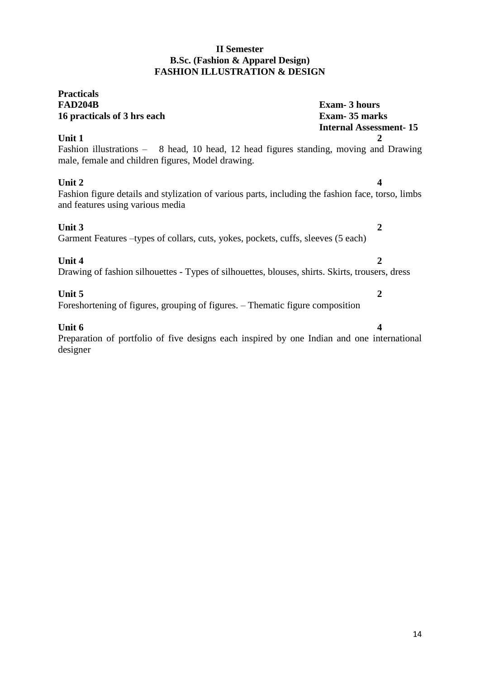### **II Semester B.Sc. (Fashion & Apparel Design) FASHION ILLUSTRATION & DESIGN**

### **Practicals FAD204B Exam- 3 hours 16 practicals of 3 hrs each Exam- 35 marks Internal Assessment- 15 Unit 1 2** Fashion illustrations – 8 head, 10 head, 12 head figures standing, moving and Drawing male, female and children figures, Model drawing. **Unit 2 4** Fashion figure details and stylization of various parts, including the fashion face, torso, limbs and features using various media **Unit 3 2** Garment Features –types of collars, cuts, yokes, pockets, cuffs, sleeves (5 each) **Unit 4 2** Drawing of fashion silhouettes - Types of silhouettes, blouses, shirts. Skirts, trousers, dress **Unit 5 2** Foreshortening of figures, grouping of figures. – Thematic figure composition **Unit 6** 4 Preparation of portfolio of five designs each inspired by one Indian and one international designer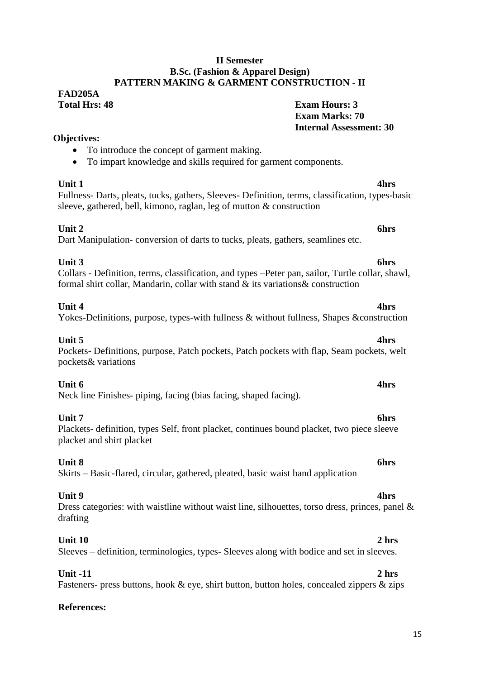#### **II Semester B.Sc. (Fashion & Apparel Design) PATTERN MAKING & GARMENT CONSTRUCTION - II**

### **FAD205A Total Hrs: 48 Exam Hours: 3**

### **Exam Marks: 70 Internal Assessment: 30**

### • To introduce the concept of garment making.

To impart knowledge and skills required for garment components.

**Objectives:**

**Unit 1 4hrs** Fullness- Darts, pleats, tucks, gathers, Sleeves- Definition, terms, classification, types-basic sleeve, gathered, bell, kimono, raglan, leg of mutton & construction

### **Unit 2 6hrs**

Dart Manipulation- conversion of darts to tucks, pleats, gathers, seamlines etc.

### **Unit 3 6hrs**

#### Collars - Definition, terms, classification, and types –Peter pan, sailor, Turtle collar, shawl, formal shirt collar, Mandarin, collar with stand & its variations& construction

### **Unit 4 4hrs**

### Yokes-Definitions, purpose, types-with fullness & without fullness, Shapes & construction

#### **Unit 5 4hrs** Pockets- Definitions, purpose, Patch pockets, Patch pockets with flap, Seam pockets, welt pockets& variations

### **Unit 6 4hrs**

Neck line Finishes- piping, facing (bias facing, shaped facing).

#### **Unit 7 6hrs** Plackets- definition, types Self, front placket, continues bound placket, two piece sleeve placket and shirt placket

**Unit 8 6hrs** Skirts – Basic-flared, circular, gathered, pleated, basic waist band application

#### **Unit 9 4hrs** Dress categories: with waistline without waist line, silhouettes, torso dress, princes, panel & drafting

### **Unit 10 2 hrs**

Sleeves – definition, terminologies, types- Sleeves along with bodice and set in sleeves.

**Unit -11 2 hrs** Fasteners- press buttons, hook & eye, shirt button, button holes, concealed zippers & zips

### **References:**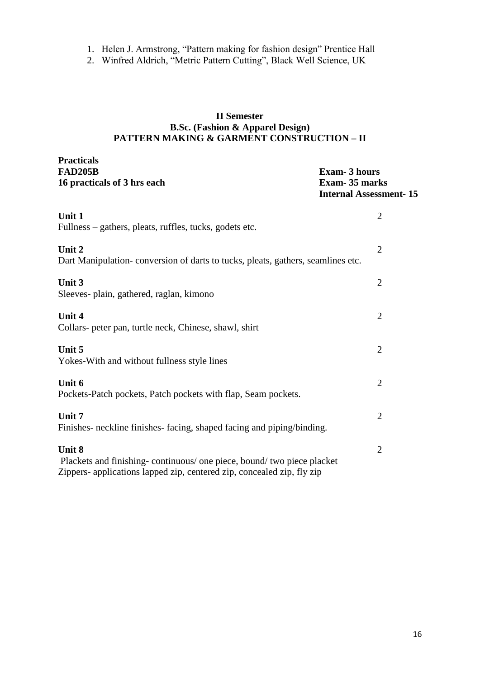- 1. Helen J. Armstrong, "Pattern making for fashion design" Prentice Hall
- 2. Winfred Aldrich, "Metric Pattern Cutting", Black Well Science, UK

### **II Semester B.Sc. (Fashion & Apparel Design) PATTERN MAKING & GARMENT CONSTRUCTION – II**

**Practicals**

| <b>FAD205B</b><br>16 practicals of 3 hrs each                                                                                                              | <b>Exam-3 hours</b><br>Exam-35 marks<br><b>Internal Assessment-15</b> |
|------------------------------------------------------------------------------------------------------------------------------------------------------------|-----------------------------------------------------------------------|
| Unit 1<br>Fullness – gathers, pleats, ruffles, tucks, godets etc.                                                                                          | $\overline{2}$                                                        |
| Unit 2<br>Dart Manipulation-conversion of darts to tucks, pleats, gathers, seamlines etc.                                                                  | $\overline{2}$                                                        |
| Unit 3<br>Sleeves- plain, gathered, raglan, kimono                                                                                                         | $\overline{2}$                                                        |
| Unit 4<br>Collars- peter pan, turtle neck, Chinese, shawl, shirt                                                                                           | $\overline{2}$                                                        |
| Unit 5<br>Yokes-With and without fullness style lines                                                                                                      | $\overline{2}$                                                        |
| Unit 6<br>Pockets-Patch pockets, Patch pockets with flap, Seam pockets.                                                                                    | $\overline{2}$                                                        |
| Unit 7<br>Finishes- neckline finishes- facing, shaped facing and piping/binding.                                                                           | 2                                                                     |
| Unit 8<br>Plackets and finishing-continuous/ one piece, bound/ two piece placket<br>Zippers- applications lapped zip, centered zip, concealed zip, fly zip | $\overline{2}$                                                        |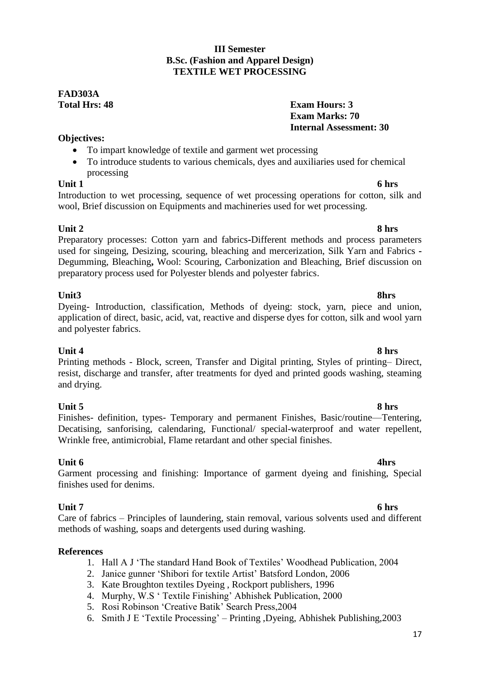### **III Semester B.Sc. (Fashion and Apparel Design) TEXTILE WET PROCESSING**

### **FAD303A Total Hrs: 48 Exam Hours: 3**

### **Exam Marks: 70 Internal Assessment: 30**

### **Objectives:**

- To impart knowledge of textile and garment wet processing
- To introduce students to various chemicals, dyes and auxiliaries used for chemical processing

### **Unit 1 6 hrs**

Introduction to wet processing, sequence of wet processing operations for cotton, silk and wool, Brief discussion on Equipments and machineries used for wet processing.

### **Unit 2 8 hrs**

Preparatory processes: Cotton yarn and fabrics**-**Different methods and process parameters used for singeing, Desizing, scouring, bleaching and mercerization, Silk Yarn and Fabrics **-** Degumming, Bleaching**,** Wool: Scouring, Carbonization and Bleaching, Brief discussion on preparatory process used for Polyester blends and polyester fabrics.

#### **Unit3 8hrs** Dyeing- Introduction, classification, Methods of dyeing: stock, yarn, piece and union, application of direct, basic, acid, vat, reactive and disperse dyes for cotton, silk and wool yarn and polyester fabrics.

**Unit 4 8 hrs** Printing methods - Block, screen, Transfer and Digital printing, Styles of printing– Direct, resist, discharge and transfer, after treatments for dyed and printed goods washing, steaming and drying.

**Unit 5 8 hrs** Finishes- definition, types- Temporary and permanent Finishes, Basic/routine—Tentering, Decatising, sanforising, calendaring, Functional/ special-waterproof and water repellent, Wrinkle free, antimicrobial, Flame retardant and other special finishes.

### **Unit 6 4hrs**

### Garment processing and finishing: Importance of garment dyeing and finishing, Special finishes used for denims.

**Unit 7 6 hrs** Care of fabrics – Principles of laundering, stain removal, various solvents used and different methods of washing, soaps and detergents used during washing.

### **References**

- 1. Hall A J 'The standard Hand Book of Textiles' Woodhead Publication, 2004
- 2. Janice gunner ‗Shibori for textile Artist' Batsford London, 2006
- 3. Kate Broughton textiles Dyeing , Rockport publishers, 1996
- 4. Murphy, W.S ‗ Textile Finishing' Abhishek Publication, 2000
- 5. Rosi Robinson 'Creative Batik' Search Press, 2004
- 6. Smith J E ‗Textile Processing' Printing ,Dyeing, Abhishek Publishing,2003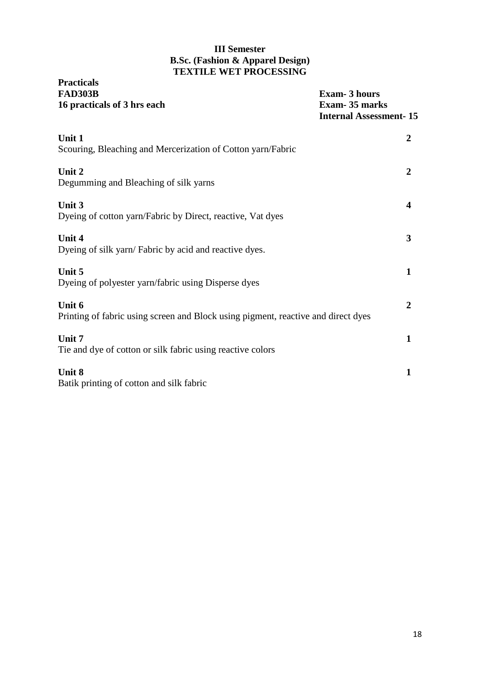### **III Semester B.Sc. (Fashion & Apparel Design) TEXTILE WET PROCESSING**

| <b>Practicals</b><br><b>FAD303B</b><br>16 practicals of 3 hrs each                          | <b>Exam-3 hours</b><br><b>Exam-35 marks</b><br><b>Internal Assessment-15</b> |
|---------------------------------------------------------------------------------------------|------------------------------------------------------------------------------|
| Unit 1<br>Scouring, Bleaching and Mercerization of Cotton yarn/Fabric                       | $\overline{2}$                                                               |
| Unit 2<br>Degumming and Bleaching of silk yarns                                             | $\overline{2}$                                                               |
| Unit 3<br>Dyeing of cotton yarn/Fabric by Direct, reactive, Vat dyes                        | 4                                                                            |
| Unit 4<br>Dyeing of silk yarn/ Fabric by acid and reactive dyes.                            | $\overline{\mathbf{3}}$                                                      |
| Unit 5<br>Dyeing of polyester yarn/fabric using Disperse dyes                               | $\mathbf{1}$                                                                 |
| Unit 6<br>Printing of fabric using screen and Block using pigment, reactive and direct dyes | $\mathbf{2}$                                                                 |
| Unit 7<br>Tie and dye of cotton or silk fabric using reactive colors                        | $\mathbf{1}$                                                                 |
| Unit 8<br>Batik printing of cotton and silk fabric                                          | $\mathbf{1}$                                                                 |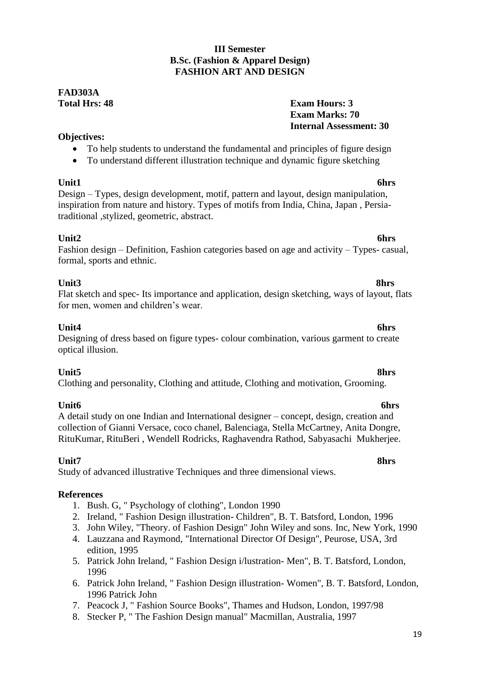### **III Semester B.Sc. (Fashion & Apparel Design) FASHION ART AND DESIGN**

### **FAD303A Total Hrs: 48 Exam Hours: 3**

### **Exam Marks: 70 Internal Assessment: 30**

### **Objectives:**

- To help students to understand the fundamental and principles of figure design
- To understand different illustration technique and dynamic figure sketching

**Unit1 6hrs** Design – Types, design development, motif, pattern and layout, design manipulation, inspiration from nature and history. Types of motifs from India, China, Japan , Persiatraditional ,stylized, geometric, abstract.

### Unit2 6hrs

#### Fashion design – Definition, Fashion categories based on age and activity – Types- casual, formal, sports and ethnic.

#### **Unit3 8hrs** Flat sketch and spec- Its importance and application, design sketching, ways of layout, flats for men, women and children's wear.

### **Unit4 6hrs**

### Designing of dress based on figure types- colour combination, various garment to create optical illusion.

**Unit5 8hrs** Clothing and personality, Clothing and attitude, Clothing and motivation, Grooming.

**Unit6 6hrs** A detail study on one Indian and International designer – concept, design, creation and collection of Gianni Versace, coco chanel, Balenciaga, Stella McCartney, Anita Dongre, RituKumar, RituBeri , Wendell Rodricks, Raghavendra Rathod, Sabyasachi Mukherjee.

### **Unit7 8hrs**

Study of advanced illustrative Techniques and three dimensional views.

### **References**

- 1. Bush. G, " Psychology of clothing", London 1990
- 2. Ireland, " Fashion Design illustration- Children", B. T. Batsford, London, 1996
- 3. John Wiley, "Theory. of Fashion Design" John Wiley and sons. Inc, New York, 1990
- 4. Lauzzana and Raymond, "International Director Of Design", Peurose, USA, 3rd edition, 1995
- 5. Patrick John Ireland, " Fashion Design i/lustration- Men", B. T. Batsford, London, 1996
- 6. Patrick John Ireland, " Fashion Design illustration- Women", B. T. Batsford, London, 1996 Patrick John
- 7. Peacock J, " Fashion Source Books", Thames and Hudson, London, 1997/98
- 8. Stecker P, " The Fashion Design manual" Macmillan, Australia, 1997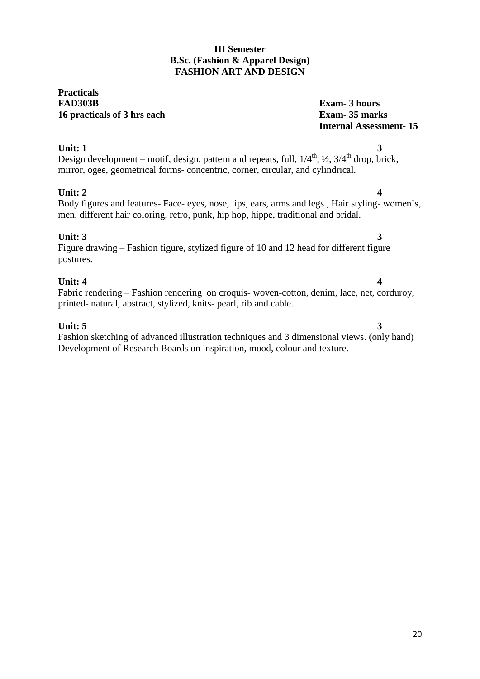### **III Semester B.Sc. (Fashion & Apparel Design) FASHION ART AND DESIGN**

### **Practicals FAD303B Exam- 3 hours 16 practicals of 3 hrs each Exam- 35 marks**

# **Internal Assessment- 15**

#### **Unit:** 1 3 Design development – motif, design, pattern and repeats, full,  $1/4^{\text{th}}$ ,  $\frac{1}{2}$ ,  $3/4^{\text{th}}$  drop, brick, mirror, ogee, geometrical forms- concentric, corner, circular, and cylindrical.

### **Unit: 2** 4

#### Body figures and features- Face- eyes, nose, lips, ears, arms and legs , Hair styling- women's, men, different hair coloring, retro, punk, hip hop, hippe, traditional and bridal.

### **Unit: 3** 3

### Figure drawing – Fashion figure, stylized figure of 10 and 12 head for different figure postures.

### **Unit: 4** 4

#### Fabric rendering – Fashion rendering on croquis- woven-cotton, denim, lace, net, corduroy, printed- natural, abstract, stylized, knits- pearl, rib and cable.

### **Unit: 5** 3

### Fashion sketching of advanced illustration techniques and 3 dimensional views. (only hand) Development of Research Boards on inspiration, mood, colour and texture.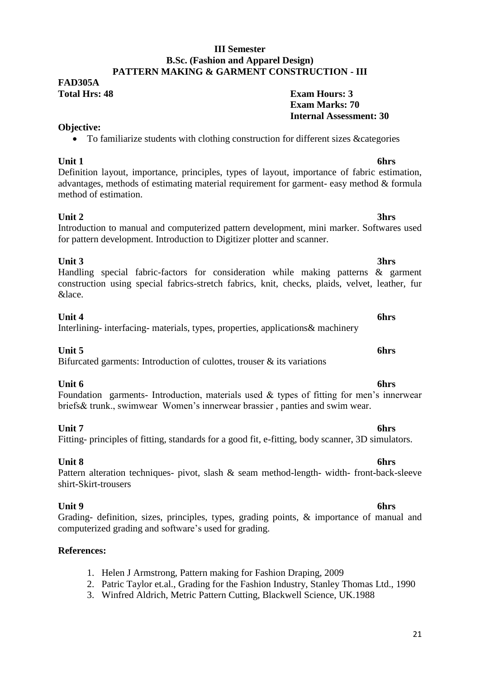### 21

#### **III Semester B.Sc. (Fashion and Apparel Design) PATTERN MAKING & GARMENT CONSTRUCTION - III**

### **FAD305A Total Hrs: 48 Exam Hours: 3**

### **Objective:**

To familiarize students with clothing construction for different sizes &categories

**Unit 1 6hrs** Definition layout, importance, principles, types of layout, importance of fabric estimation, advantages, methods of estimating material requirement for garment- easy method & formula method of estimation.

#### **Unit 2 3hrs** Introduction to manual and computerized pattern development, mini marker. Softwares used for pattern development. Introduction to Digitizer plotter and scanner.

#### **Unit 3 3hrs** Handling special fabric-factors for consideration while making patterns & garment construction using special fabrics-stretch fabrics, knit, checks, plaids, velvet, leather, fur &lace.

### **Unit 4 6hrs**

### Interlining- interfacing- materials, types, properties, applications& machinery

### **Unit 5 6hrs**

Bifurcated garments: Introduction of culottes, trouser  $\&$  its variations

### **Unit 6 6hrs**

Foundation garments- Introduction, materials used & types of fitting for men's innerwear briefs& trunk., swimwear Women's innerwear brassier , panties and swim wear.

#### **Unit 7 6hrs** Fitting- principles of fitting, standards for a good fit, e-fitting, body scanner, 3D simulators.

#### **Unit 8 6hrs** Pattern alteration techniques- pivot, slash & seam method-length- width- front-back-sleeve shirt-Skirt-trousers

**Unit 9 6hrs** Grading- definition, sizes, principles, types, grading points, & importance of manual and computerized grading and software's used for grading.

### **References:**

- 1. Helen J Armstrong, Pattern making for Fashion Draping, 2009
- 2. Patric Taylor et.al., Grading for the Fashion Industry, Stanley Thomas Ltd., 1990
- 3. Winfred Aldrich, Metric Pattern Cutting, Blackwell Science, UK.1988

**Exam Marks: 70**

**Internal Assessment: 30**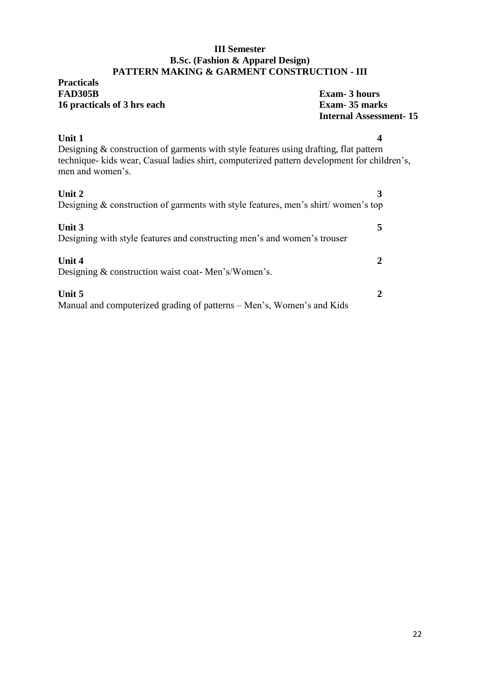#### **III Semester B.Sc. (Fashion & Apparel Design) PATTERN MAKING & GARMENT CONSTRUCTION - III**

### **Practicals Exam-** 3 hours **16 practicals of 3 hrs each Exam- 35 marks**

# **Internal Assessment- 15**

### **Unit 1 4** Designing & construction of garments with style features using drafting, flat pattern technique- kids wear, Casual ladies shirt, computerized pattern development for children's, men and women's.

| Unit 2<br>Designing $\&$ construction of garments with style features, men's shirt/women's top |  |
|------------------------------------------------------------------------------------------------|--|
| Unit 3<br>Designing with style features and constructing men's and women's trouser             |  |
| Unit 4<br>Designing & construction waist coat-Men's/Women's.                                   |  |
| Unit 5<br>Manual and computerized grading of patterns – Men's, Women's and Kids                |  |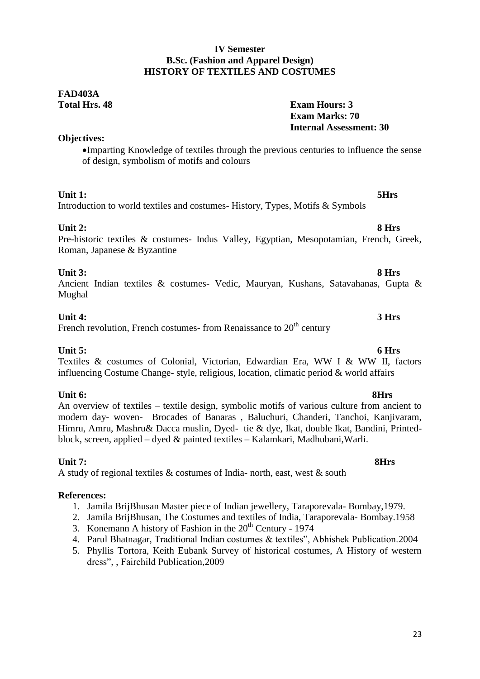### **IV Semester B.Sc. (Fashion and Apparel Design) HISTORY OF TEXTILES AND COSTUMES**

### **FAD403A Total Hrs. 48 Exam Hours: 3**

### **Objectives:**

Imparting Knowledge of textiles through the previous centuries to influence the sense of design, symbolism of motifs and colours

### **Unit 1: 5Hrs**

### Introduction to world textiles and costumes- History, Types, Motifs & Symbols

**Unit 2: 8 Hrs**

Pre-historic textiles & costumes- Indus Valley, Egyptian, Mesopotamian, French, Greek, Roman, Japanese & Byzantine

### **Unit 3: 8 Hrs**

Ancient Indian textiles & costumes- Vedic, Mauryan, Kushans, Satavahanas, Gupta & Mughal

### **Unit 4: 3 Hrs**

French revolution, French costumes- from Renaissance to  $20<sup>th</sup>$  century

### **Unit 5: 6 Hrs**

Textiles & costumes of Colonial, Victorian, Edwardian Era, WW I & WW II, factors influencing Costume Change- style, religious, location, climatic period & world affairs

### **Unit 6: 8Hrs**

An overview of textiles – textile design, symbolic motifs of various culture from ancient to modern day- woven- Brocades of Banaras , Baluchuri, Chanderi, Tanchoi, Kanjivaram, Himru, Amru, Mashru& Dacca muslin, Dyed- tie & dye, Ikat, double Ikat, Bandini, Printedblock, screen, applied – dyed & painted textiles – Kalamkari, Madhubani,Warli.

### **Unit 7: 8Hrs**

A study of regional textiles  $&$  costumes of India- north, east, west  $&$  south

### **References:**

- 1. Jamila BrijBhusan Master piece of Indian jewellery, Taraporevala- Bombay,1979.
- 2. Jamila BrijBhusan, The Costumes and textiles of India, Taraporevala- Bombay.1958
- 3. Konemann A history of Fashion in the  $20<sup>th</sup>$  Century 1974
- 4. Parul Bhatnagar, Traditional Indian costumes & textiles", Abhishek Publication.2004
- 5. Phyllis Tortora, Keith Eubank Survey of historical costumes, A History of western dress". Fairchild Publication.2009

**Exam Marks: 70**

**Internal Assessment: 30**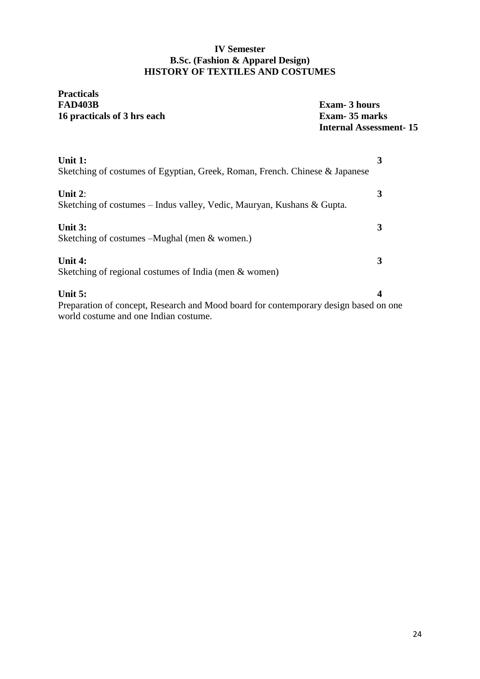### **IV Semester B.Sc. (Fashion & Apparel Design) HISTORY OF TEXTILES AND COSTUMES**

## **Practicals 16 practicals of 3 hrs each**

**Exam-** 3 hours<br>**Exam-** 35 marks **Internal Assessment- 15**

| Unit 1:<br>Sketching of costumes of Egyptian, Greek, Roman, French. Chinese & Japanese                                                     | 3 |
|--------------------------------------------------------------------------------------------------------------------------------------------|---|
| Unit $2$ :<br>Sketching of costumes – Indus valley, Vedic, Mauryan, Kushans & Gupta.                                                       | 3 |
| Unit 3:<br>Sketching of costumes – Mughal (men & women.)                                                                                   | 3 |
| Unit 4:<br>Sketching of regional costumes of India (men & women)                                                                           | 3 |
| Unit $5:$<br>Preparation of concept, Research and Mood board for contemporary design based on one<br>world costume and one Indian costume. | 4 |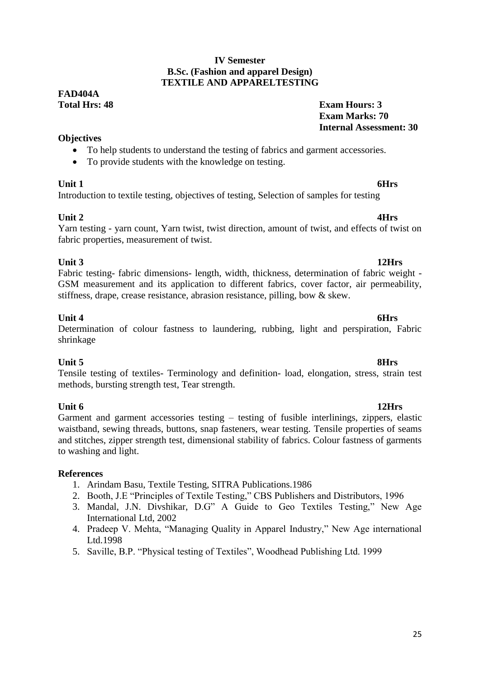#### **IV Semester B.Sc. (Fashion and apparel Design) TEXTILE AND APPARELTESTING**

## **FAD404A**

### **Total Hrs: 48 Exam Hours: 3 Exam Marks: 70 Internal Assessment: 30**

### **Objectives**

- To help students to understand the testing of fabrics and garment accessories.
- To provide students with the knowledge on testing.

### **Unit 1** 6Hrs

Introduction to textile testing, objectives of testing, Selection of samples for testing

**Unit 2 4Hrs** Yarn testing - yarn count, Yarn twist, twist direction, amount of twist, and effects of twist on fabric properties, measurement of twist.

**Unit 3 12Hrs** Fabric testing- fabric dimensions- length, width, thickness, determination of fabric weight - GSM measurement and its application to different fabrics, cover factor, air permeability, stiffness, drape, crease resistance, abrasion resistance, pilling, bow & skew.

### **Unit 4** 6Hrs

### Determination of colour fastness to laundering, rubbing, light and perspiration, Fabric shrinkage

### **Unit 5 8Hrs**

Tensile testing of textiles- Terminology and definition- load, elongation, stress, strain test methods, bursting strength test, Tear strength.

**Unit 6** 12Hrs Garment and garment accessories testing – testing of fusible interlinings, zippers, elastic waistband, sewing threads, buttons, snap fasteners, wear testing. Tensile properties of seams and stitches, zipper strength test, dimensional stability of fabrics. Colour fastness of garments to washing and light.

### **References**

- 1. Arindam Basu, Textile Testing, SITRA Publications.1986
- 2. Booth, J.E "Principles of Textile Testing," CBS Publishers and Distributors, 1996
- 3. Mandal, J.N. Divshikar, D.G" A Guide to Geo Textiles Testing," New Age International Ltd, 2002
- 4. Pradeep V. Mehta, "Managing Quality in Apparel Industry," New Age international Ltd.1998
- 5. Saville, B.P. "Physical testing of Textiles", Woodhead Publishing Ltd. 1999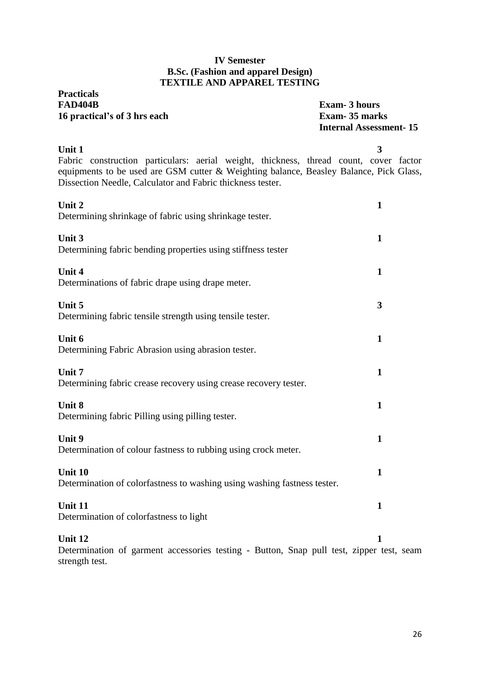### **IV Semester B.Sc. (Fashion and apparel Design) TEXTILE AND APPAREL TESTING**

| <b>Practicals</b><br><b>FAD404B</b><br>16 practical's of 3 hrs each                                                                                                                                                                                     | <b>Exam-3 hours</b><br>Exam-35 marks<br><b>Internal Assessment-15</b> |
|---------------------------------------------------------------------------------------------------------------------------------------------------------------------------------------------------------------------------------------------------------|-----------------------------------------------------------------------|
| Unit 1<br>Fabric construction particulars: aerial weight, thickness, thread count, cover factor<br>equipments to be used are GSM cutter & Weighting balance, Beasley Balance, Pick Glass,<br>Dissection Needle, Calculator and Fabric thickness tester. | 3                                                                     |
| Unit 2<br>Determining shrinkage of fabric using shrinkage tester.                                                                                                                                                                                       | $\mathbf{1}$                                                          |
| Unit 3<br>Determining fabric bending properties using stiffness tester                                                                                                                                                                                  | 1                                                                     |
| Unit 4<br>Determinations of fabric drape using drape meter.                                                                                                                                                                                             | $\mathbf{1}$                                                          |
| Unit 5<br>Determining fabric tensile strength using tensile tester.                                                                                                                                                                                     | 3                                                                     |
| Unit 6<br>Determining Fabric Abrasion using abrasion tester.                                                                                                                                                                                            | $\mathbf{1}$                                                          |
| Unit 7<br>Determining fabric crease recovery using crease recovery tester.                                                                                                                                                                              | $\mathbf{1}$                                                          |
| Unit 8<br>Determining fabric Pilling using pilling tester.                                                                                                                                                                                              | $\mathbf{1}$                                                          |
| Unit 9<br>Determination of colour fastness to rubbing using crock meter.                                                                                                                                                                                | $\mathbf{1}$                                                          |
| Unit 10<br>Determination of colorfastness to washing using washing fastness tester.                                                                                                                                                                     | 1                                                                     |
| Unit 11<br>Determination of colorfastness to light                                                                                                                                                                                                      | 1                                                                     |
| Unit 12<br>Determination of garment accessories testing Rutton Snap pull test zinner                                                                                                                                                                    | 1                                                                     |

Determination of garment accessories testing - Button, Snap pull test, zipper test, seam strength test.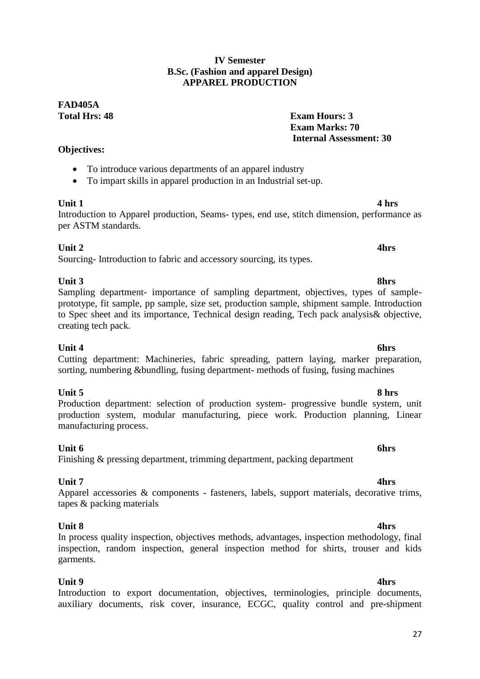### **IV Semester B.Sc. (Fashion and apparel Design) APPAREL PRODUCTION**

### **FAD405A Total Hrs: 48 Exam Hours: 3**

### **Objectives:**

- To introduce various departments of an apparel industry
- To impart skills in apparel production in an Industrial set-up.

### **Unit 1 4 hrs**

Introduction to Apparel production, Seams- types, end use, stitch dimension, performance as per ASTM standards.

### **Unit 2** 4hrs

Sourcing- Introduction to fabric and accessory sourcing, its types.

### **Unit 3 8hrs**

Sampling department- importance of sampling department, objectives, types of sampleprototype, fit sample, pp sample, size set, production sample, shipment sample. Introduction to Spec sheet and its importance, Technical design reading, Tech pack analysis& objective, creating tech pack.

**Unit 4 6hrs** Cutting department: Machineries, fabric spreading, pattern laying, marker preparation, sorting, numbering &bundling, fusing department- methods of fusing, fusing machines

### **Unit 5 8 hrs**

Production department: selection of production system- progressive bundle system, unit production system, modular manufacturing, piece work. Production planning, Linear manufacturing process.

### **Unit 6 6hrs**

### Finishing & pressing department, trimming department, packing department

### **Unit 7 4hrs**

Apparel accessories & components - fasteners, labels, support materials, decorative trims, tapes & packing materials

### **Unit 8 4hrs**

### In process quality inspection, objectives methods, advantages, inspection methodology, final inspection, random inspection, general inspection method for shirts, trouser and kids garments.

**Unit 9 4hrs** Introduction to export documentation, objectives, terminologies, principle documents, auxiliary documents, risk cover, insurance, ECGC, quality control and pre-shipment

**Exam Marks: 70**

**Internal Assessment: 30**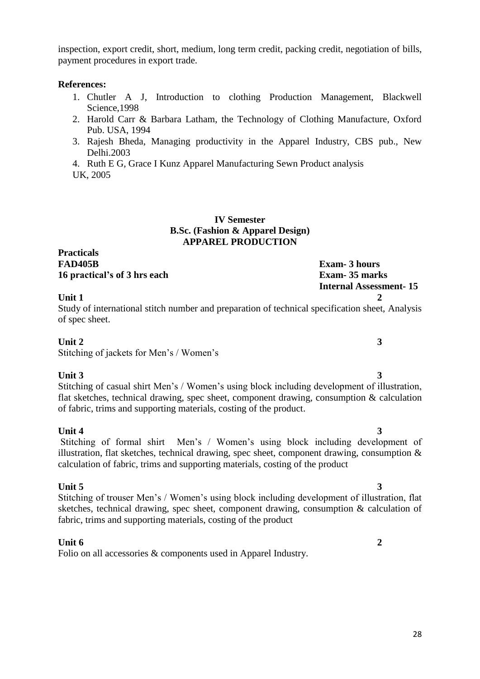inspection, export credit, short, medium, long term credit, packing credit, negotiation of bills, payment procedures in export trade.

#### **References:**

- 1. Chutler A J, Introduction to clothing Production Management, Blackwell Science,1998
- 2. Harold Carr & Barbara Latham, the Technology of Clothing Manufacture, Oxford Pub. USA, 1994
- 3. Rajesh Bheda, Managing productivity in the Apparel Industry, CBS pub., New Delhi.2003
- 4. Ruth E G, Grace I Kunz Apparel Manufacturing Sewn Product analysis UK, 2005

#### **IV Semester B.Sc. (Fashion & Apparel Design) APPAREL PRODUCTION**

#### **Practicals FAD405B Exam- 3 hours 16 practical's of 3 hrs each Exam- 35 marks**

**Internal Assessment- 15**

### **Unit 1 2**

Study of international stitch number and preparation of technical specification sheet, Analysis of spec sheet.

#### **Unit 2** 3

Stitching of jackets for Men's / Women's

**Unit 3 3** Stitching of casual shirt Men's / Women's using block including development of illustration, flat sketches, technical drawing, spec sheet, component drawing, consumption & calculation of fabric, trims and supporting materials, costing of the product.

### **Unit 4 3**

#### Stitching of formal shirt Men's / Women's using block including development of illustration, flat sketches, technical drawing, spec sheet, component drawing, consumption  $\&$ calculation of fabric, trims and supporting materials, costing of the product

### **Unit 5 3**

Stitching of trouser Men's / Women's using block including development of illustration, flat sketches, technical drawing, spec sheet, component drawing, consumption & calculation of fabric, trims and supporting materials, costing of the product

### **Unit 6 2**

Folio on all accessories & components used in Apparel Industry.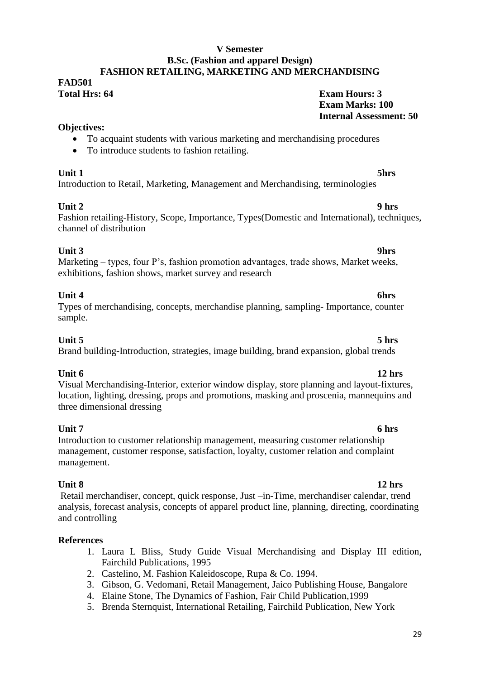#### **V Semester B.Sc. (Fashion and apparel Design) FASHION RETAILING, MARKETING AND MERCHANDISING**

## **FAD501**

### **Total Hrs: 64 Exam Hours: 3 Exam Marks: 100 Internal Assessment: 50**

### **Objectives:**

- To acquaint students with various marketing and merchandising procedures
- To introduce students to fashion retailing.

**Unit 1 5hrs** Introduction to Retail, Marketing, Management and Merchandising, terminologies

### **Unit 2 9 hrs**

Fashion retailing-History, Scope, Importance, Types(Domestic and International), techniques, channel of distribution

### **Unit 3 9hrs**

Marketing – types, four P's, fashion promotion advantages, trade shows, Market weeks, exhibitions, fashion shows, market survey and research

### **Unit 4 6hrs**

### Types of merchandising, concepts, merchandise planning, sampling- Importance, counter sample.

### **Unit 5 5 hrs**

Brand building-Introduction, strategies, image building, brand expansion, global trends

**Unit 6 12 hrs** Visual Merchandising-Interior, exterior window display, store planning and layout-fixtures, location, lighting, dressing, props and promotions, masking and proscenia, mannequins and three dimensional dressing

#### **Unit 7 6 hrs** Introduction to customer relationship management, measuring customer relationship management, customer response, satisfaction, loyalty, customer relation and complaint management.

**Unit 8 12 hrs** Retail merchandiser, concept, quick response, Just –in-Time, merchandiser calendar, trend analysis, forecast analysis, concepts of apparel product line, planning, directing, coordinating and controlling

### **References**

- 1. Laura L Bliss, Study Guide Visual Merchandising and Display III edition, Fairchild Publications, 1995
- 2. Castelino, M. Fashion Kaleidoscope, Rupa & Co. 1994.
- 3. Gibson, G. Vedomani, Retail Management, Jaico Publishing House, Bangalore
- 4. Elaine Stone, The Dynamics of Fashion, Fair Child Publication,1999
- 5. Brenda Sternquist, International Retailing, Fairchild Publication, New York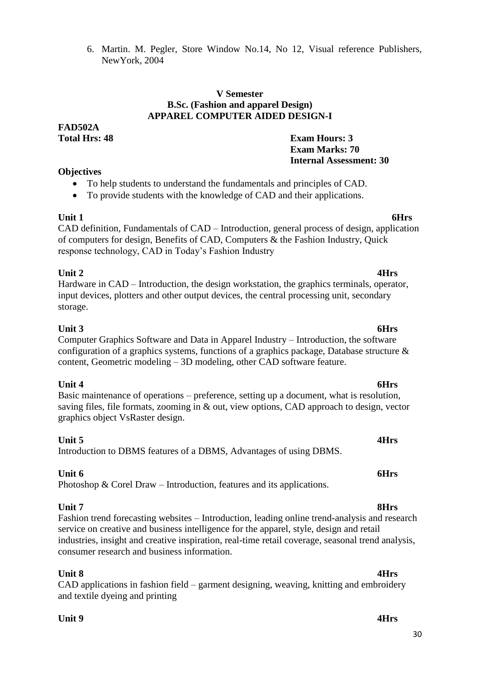6. Martin. M. Pegler, Store Window No.14, No 12, Visual reference Publishers, NewYork, 2004

**Exam Marks: 70**

 **Internal Assessment: 30**

#### **V Semester B.Sc. (Fashion and apparel Design) APPAREL COMPUTER AIDED DESIGN-I**

**FAD502A Total Hrs: 48 Exam Hours: 3**

### **Objectives**

- To help students to understand the fundamentals and principles of CAD.
- To provide students with the knowledge of CAD and their applications.

**Unit 1 6Hrs** CAD definition, Fundamentals of CAD – Introduction, general process of design, application of computers for design, Benefits of CAD, Computers & the Fashion Industry, Quick response technology, CAD in Today's Fashion Industry

### **Unit 2 4Hrs**

Hardware in CAD – Introduction, the design workstation, the graphics terminals, operator, input devices, plotters and other output devices, the central processing unit, secondary storage.

### **Unit 3 6Hrs**

Computer Graphics Software and Data in Apparel Industry – Introduction, the software configuration of a graphics systems, functions of a graphics package, Database structure & content, Geometric modeling – 3D modeling, other CAD software feature.

### **Unit 4 6Hrs**

Basic maintenance of operations – preference, setting up a document, what is resolution, saving files, file formats, zooming in & out, view options, CAD approach to design, vector graphics object VsRaster design.

### **Unit 5 4Hrs**

Introduction to DBMS features of a DBMS, Advantages of using DBMS.

### **Unit 6 6Hrs**

Photoshop & Corel Draw – Introduction, features and its applications.

**Unit 7 8Hrs** Fashion trend forecasting websites – Introduction, leading online trend-analysis and research service on creative and business intelligence for the apparel, style, design and retail industries, insight and creative inspiration, real-time retail coverage, seasonal trend analysis, consumer research and business information.

### **Unit 8 4Hrs**

CAD applications in fashion field – garment designing, weaving, knitting and embroidery and textile dyeing and printing

### **Unit 9 4Hrs**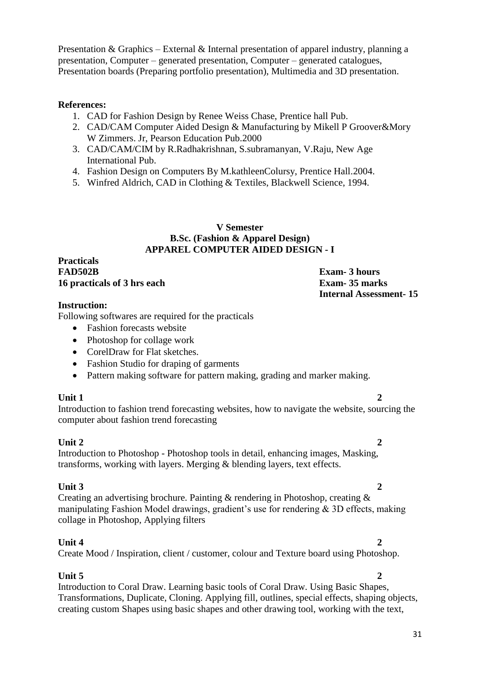Presentation & Graphics – External & Internal presentation of apparel industry, planning a presentation, Computer – generated presentation, Computer – generated catalogues, Presentation boards (Preparing portfolio presentation), Multimedia and 3D presentation.

#### **References:**

- 1. CAD for Fashion Design by Renee Weiss Chase, Prentice hall Pub.
- 2. CAD/CAM Computer Aided Design & Manufacturing by Mikell P Groover&Mory W Zimmers. Jr, Pearson Education Pub.2000
- 3. CAD/CAM/CIM by R.Radhakrishnan, S.subramanyan, V.Raju, New Age International Pub.
- 4. Fashion Design on Computers By M.kathleenColursy, Prentice Hall.2004.
- 5. Winfred Aldrich, CAD in Clothing & Textiles, Blackwell Science, 1994.

#### **V Semester B.Sc. (Fashion & Apparel Design) APPAREL COMPUTER AIDED DESIGN - I**

#### **Practicals** FAD502B **Exam-** 3 hours<br>16 practicals of 3 hrs each **Exam- Exam-** 35 marks **16 practicals of 3 hrs each**

# **Internal Assessment- 15**

#### **Instruction:**

Following softwares are required for the practicals

- Fashion forecasts website
- Photoshop for collage work
- CorelDraw for Flat sketches.
- Fashion Studio for draping of garments
- Pattern making software for pattern making, grading and marker making.

### **Unit 1** 2

Introduction to fashion trend forecasting websites, how to navigate the website, sourcing the computer about fashion trend forecasting

#### **Unit 2** 2 Introduction to Photoshop - Photoshop tools in detail, enhancing images, Masking, transforms, working with layers. Merging & blending layers, text effects.

### **Unit 3** 2

Creating an advertising brochure. Painting & rendering in Photoshop, creating & manipulating Fashion Model drawings, gradient's use for rendering & 3D effects, making collage in Photoshop, Applying filters

#### **Unit 4** 2 Create Mood / Inspiration, client / customer, colour and Texture board using Photoshop.

### **Unit 5** 2

Introduction to Coral Draw. Learning basic tools of Coral Draw. Using Basic Shapes, Transformations, Duplicate, Cloning. Applying fill, outlines, special effects, shaping objects, creating custom Shapes using basic shapes and other drawing tool, working with the text,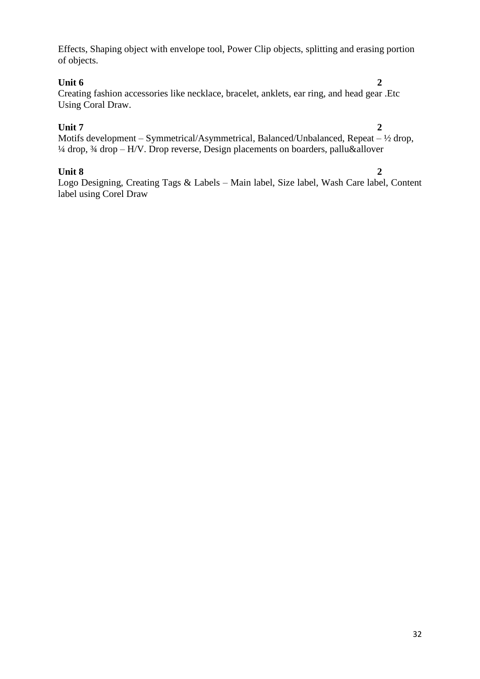Effects, Shaping object with envelope tool, Power Clip objects, splitting and erasing portion of objects.

#### **Unit 6** 2

Creating fashion accessories like necklace, bracelet, anklets, ear ring, and head gear .Etc Using Coral Draw.

### **Unit 7 2**

Motifs development – Symmetrical/Asymmetrical, Balanced/Unbalanced, Repeat – ½ drop, ¼ drop, ¾ drop – H/V. Drop reverse, Design placements on boarders, pallu&allover

### **Unit 8 2**

Logo Designing, Creating Tags & Labels – Main label, Size label, Wash Care label, Content label using Corel Draw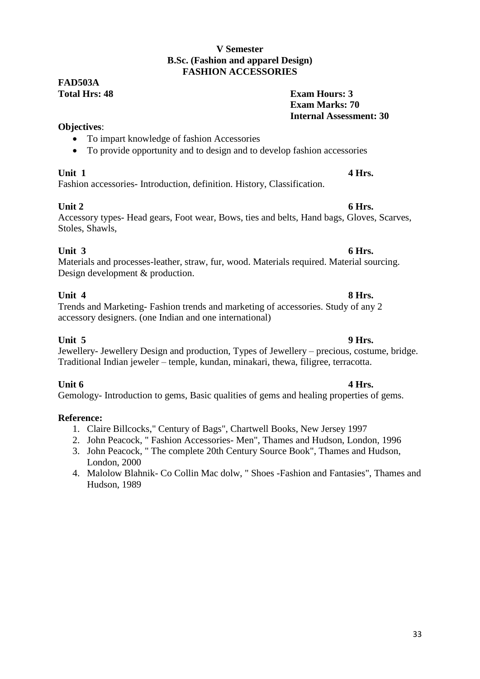### **V Semester B.Sc. (Fashion and apparel Design) FASHION ACCESSORIES**

### **FAD503A Total Hrs: 48 Exam Hours: 3**

### **Objectives**:

- To impart knowledge of fashion Accessories
- To provide opportunity and to design and to develop fashion accessories

**Unit 1 4 Hrs.** Fashion accessories- Introduction, definition. History, Classification.

### **Unit 2 6 Hrs.**

### Accessory types- Head gears, Foot wear, Bows, ties and belts, Hand bags, Gloves, Scarves, Stoles, Shawls,

### **Unit 3 6 Hrs.**

Materials and processes-leather, straw, fur, wood. Materials required. Material sourcing. Design development & production.

**Unit 4 8 Hrs.** Trends and Marketing- Fashion trends and marketing of accessories. Study of any 2 accessory designers. (one Indian and one international)

**Unit 5 9 Hrs.** Jewellery- Jewellery Design and production, Types of Jewellery – precious, costume, bridge. Traditional Indian jeweler – temple, kundan, minakari, thewa, filigree, terracotta.

**Unit 6 4 Hrs.** Gemology- Introduction to gems, Basic qualities of gems and healing properties of gems.

### **Reference:**

- 1. Claire Billcocks," Century of Bags", Chartwell Books, New Jersey 1997
- 2. John Peacock, " Fashion Accessories- Men", Thames and Hudson, London, 1996
- 3. John Peacock, " The complete 20th Century Source Book", Thames and Hudson, London, 2000
- 4. Malolow Blahnik- Co Collin Mac dolw, " Shoes -Fashion and Fantasies", Thames and Hudson, 1989

**Exam Marks: 70**

**Internal Assessment: 30**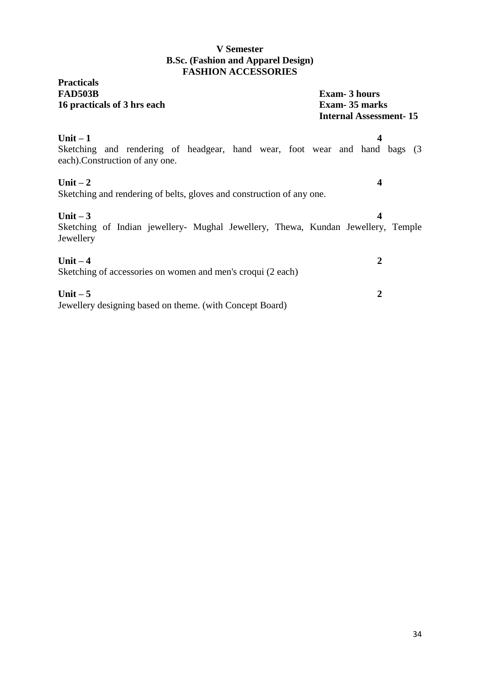### **V Semester B.Sc. (Fashion and Apparel Design) FASHION ACCESSORIES**

| <b>Practicals</b><br><b>FAD503B</b><br>16 practicals of 3 hrs each                                                          | <b>Exam-3 hours</b><br>Exam-35 marks<br><b>Internal Assessment-15</b> |  |  |  |  |
|-----------------------------------------------------------------------------------------------------------------------------|-----------------------------------------------------------------------|--|--|--|--|
| Unit $-1$<br>Sketching and rendering of headgear, hand wear, foot wear and hand bags (3)<br>each). Construction of any one. | 4                                                                     |  |  |  |  |
| Unit $-2$<br>Sketching and rendering of belts, gloves and construction of any one.                                          | 4                                                                     |  |  |  |  |
| Unit $-3$<br>Sketching of Indian jewellery- Mughal Jewellery, Thewa, Kundan Jewellery, Temple<br>Jewellery                  | 4                                                                     |  |  |  |  |
| Unit $-4$<br>Sketching of accessories on women and men's croqui (2 each)                                                    | 2                                                                     |  |  |  |  |
| Unit $-5$<br>Jewellery designing based on theme. (with Concept Board)                                                       | $\overline{2}$                                                        |  |  |  |  |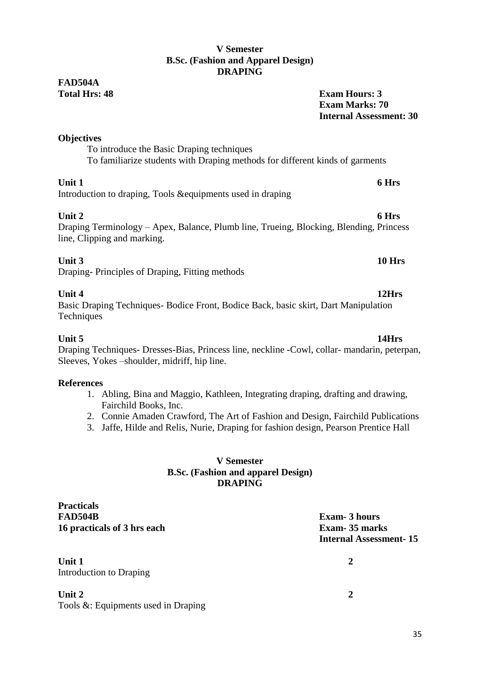### **V Semester B.Sc. (Fashion and Apparel Design) DRAPING**

## **FAD504A**

**Total Hrs: 48 Exam Hours: 3 Exam Marks: 70 Internal Assessment: 30**

### **Objectives**

To introduce the Basic Draping techniques To familiarize students with Draping methods for different kinds of garments

### **Unit 1 6 Hrs**

Introduction to draping, Tools &equipments used in draping

**Unit 2 6 Hrs** Draping Terminology – Apex, Balance, Plumb line, Trueing, Blocking, Blending, Princess line, Clipping and marking.

### **Unit 3 10 Hrs**

Draping- Principles of Draping, Fitting methods

### **Unit 4 12Hrs**

Basic Draping Techniques- Bodice Front, Bodice Back, basic skirt, Dart Manipulation **Techniques** 

**Unit 5 14Hrs** Draping Techniques- Dresses-Bias, Princess line, neckline -Cowl, collar- mandarin, peterpan, Sleeves, Yokes –shoulder, midriff, hip line.

### **References**

- 1. Abling, Bina and Maggio, Kathleen, Integrating draping, drafting and drawing, Fairchild Books, Inc.
- 2. Connie Amaden Crawford, The Art of Fashion and Design, Fairchild Publications
- 3. Jaffe, Hilde and Relis, Nurie, Draping for fashion design, Pearson Prentice Hall

### **V Semester B.Sc. (Fashion and apparel Design) DRAPING**

**Practicals FAD504B Exam- 3 hours 16 practicals of 3 hrs each Exam- 35 marks**

**Unit 1** 2 Introduction to Draping

**Unit 2 2** Tools &: Equipments used in Draping

**Internal Assessment- 15**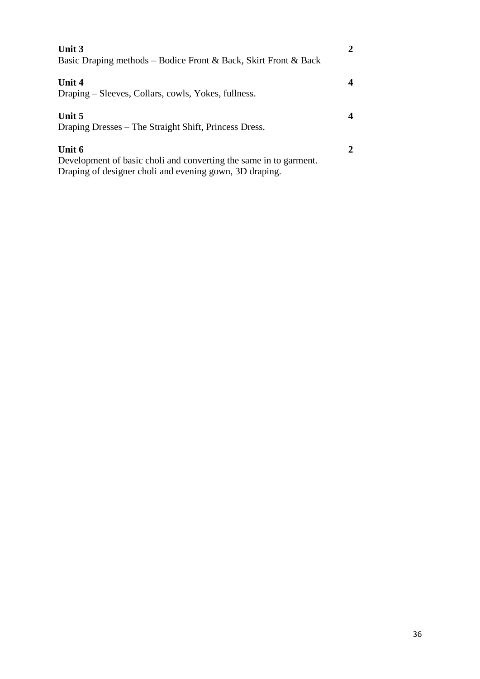| Unit 3<br>Basic Draping methods – Bodice Front & Back, Skirt Front & Back                                                              |  |
|----------------------------------------------------------------------------------------------------------------------------------------|--|
| Unit 4<br>Draping – Sleeves, Collars, cowls, Yokes, fullness.                                                                          |  |
| Unit 5<br>Draping Dresses – The Straight Shift, Princess Dress.                                                                        |  |
| Unit 6<br>Development of basic choli and converting the same in to garment.<br>Draping of designer choli and evening gown, 3D draping. |  |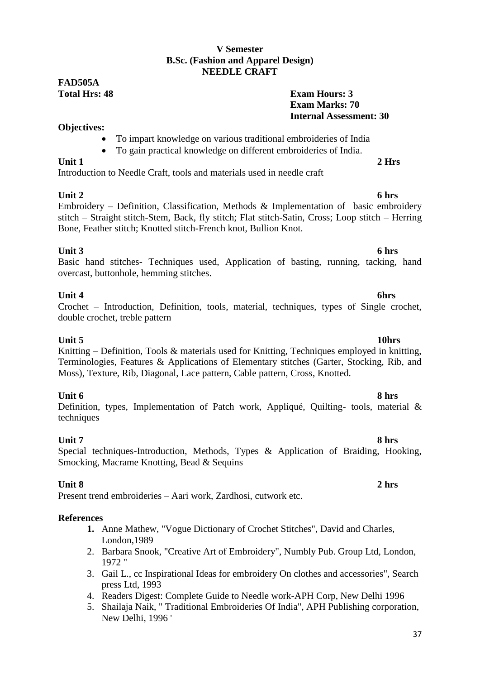### **V Semester B.Sc. (Fashion and Apparel Design) NEEDLE CRAFT**

## **FAD505A**

### **Total Hrs: 48 Exam Hours: 3 Exam Marks: 70 Internal Assessment: 30**

### **Objectives:**

- To impart knowledge on various traditional embroideries of India
- To gain practical knowledge on different embroideries of India.

### **Unit 1 2 Hrs**

Introduction to Needle Craft, tools and materials used in needle craft

**Unit 2 6 hrs** Embroidery – Definition, Classification, Methods & Implementation of basic embroidery stitch – Straight stitch-Stem, Back, fly stitch; Flat stitch-Satin, Cross; Loop stitch – Herring Bone, Feather stitch; Knotted stitch-French knot, Bullion Knot.

**Unit 3 6 hrs** Basic hand stitches- Techniques used, Application of basting, running, tacking, hand overcast, buttonhole, hemming stitches.

### **Unit 4 6hrs**

### Crochet – Introduction, Definition, tools, material, techniques, types of Single crochet, double crochet, treble pattern

### **Unit 5 10hrs**

Knitting – Definition, Tools & materials used for Knitting, Techniques employed in knitting, Terminologies, Features & Applications of Elementary stitches (Garter, Stocking, Rib, and Moss), Texture, Rib, Diagonal, Lace pattern, Cable pattern, Cross, Knotted.

**Unit 6 8 hrs** Definition, types, Implementation of Patch work, Appliqué, Quilting- tools, material & techniques

**Unit 7 8 hrs** Special techniques-Introduction, Methods, Types & Application of Braiding, Hooking, Smocking, Macrame Knotting, Bead & Sequins

### **Unit 8 2 hrs**

Present trend embroideries – Aari work, Zardhosi, cutwork etc.

### **References**

- **1.** Anne Mathew, "Vogue Dictionary of Crochet Stitches", David and Charles, London,1989
- 2. Barbara Snook, "Creative Art of Embroidery", Numbly Pub. Group Ltd, London, 1972 "
- 3. Gail L., cc Inspirational Ideas for embroidery On clothes and accessories", Search press Ltd, 1993
- 4. Readers Digest: Complete Guide to Needle work-APH Corp, New Delhi 1996
- 5. Shailaja Naik, " Traditional Embroideries Of India", APH Publishing corporation, New Delhi, 1996 '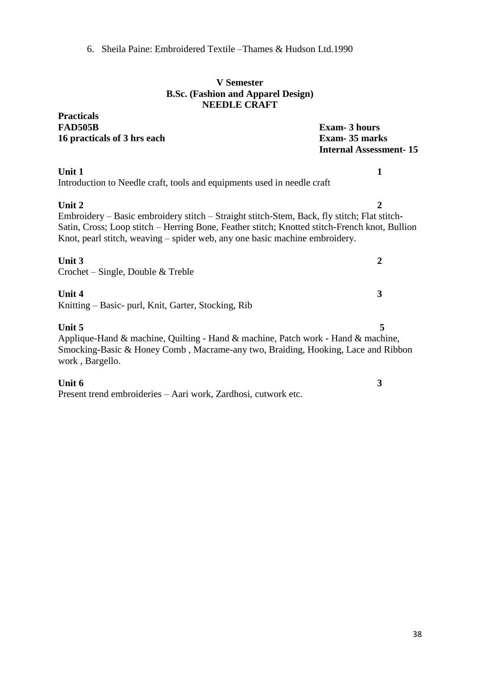6. Sheila Paine: Embroidered Textile –Thames & Hudson Ltd.1990

#### **V Semester B.Sc. (Fashion and Apparel Design) NEEDLE CRAFT**

**Practicals FAD505B Exam- 3 hours 16 practicals of 3 hrs each Exam- 35 marks**

**Internal Assessment- 15**

### **Unit 1 1**

Introduction to Needle craft, tools and equipments used in needle craft

**Unit 2** 2 Embroidery – Basic embroidery stitch – Straight stitch-Stem, Back, fly stitch; Flat stitch-Satin, Cross; Loop stitch – Herring Bone, Feather stitch; Knotted stitch-French knot, Bullion Knot, pearl stitch, weaving – spider web, any one basic machine embroidery.

**Unit 3** 2 Crochet – Single, Double & Treble

### **Unit 4** 3

Knitting – Basic- purl, Knit, Garter, Stocking, Rib

### **Unit 5** 5

Applique-Hand & machine, Quilting - Hand & machine, Patch work - Hand & machine, Smocking-Basic & Honey Comb , Macrame-any two, Braiding, Hooking, Lace and Ribbon work , Bargello.

### **Unit 6 3**

Present trend embroideries – Aari work, Zardhosi, cutwork etc.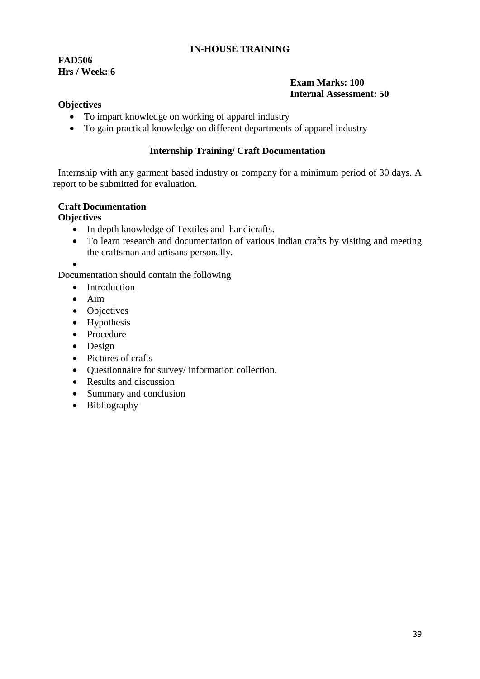### **IN-HOUSE TRAINING**

**FAD506 Hrs / Week: 6**

### **Exam Marks: 100 Internal Assessment: 50**

#### **Objectives**

- To impart knowledge on working of apparel industry
- To gain practical knowledge on different departments of apparel industry

### **Internship Training/ Craft Documentation**

 Internship with any garment based industry or company for a minimum period of 30 days. A report to be submitted for evaluation.

### **Craft Documentation**

### **Objectives**

- In depth knowledge of Textiles and handicrafts.
- To learn research and documentation of various Indian crafts by visiting and meeting the craftsman and artisans personally.
- $\bullet$

Documentation should contain the following

- Introduction
- $\bullet$  Aim
- Objectives
- Hypothesis
- Procedure
- Design
- Pictures of crafts
- Questionnaire for survey/ information collection.
- Results and discussion
- Summary and conclusion
- Bibliography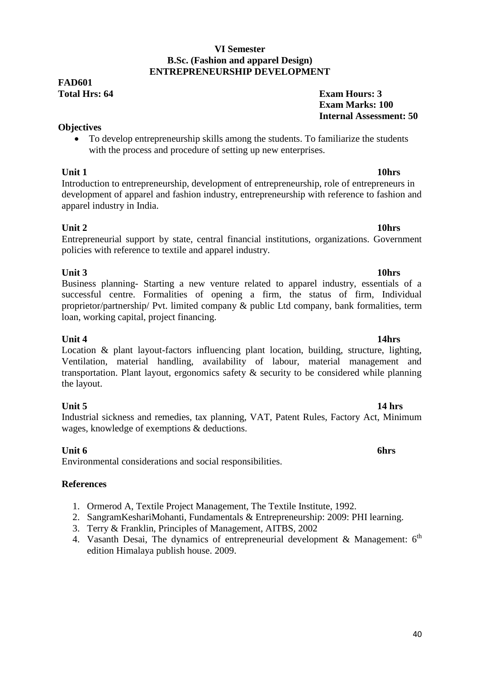#### **VI Semester B.Sc. (Fashion and apparel Design) ENTREPRENEURSHIP DEVELOPMENT**

## **FAD601**

### **Objectives**

 To develop entrepreneurship skills among the students. To familiarize the students with the process and procedure of setting up new enterprises.

**Unit 1 10hrs** Introduction to entrepreneurship, development of entrepreneurship, role of entrepreneurs in development of apparel and fashion industry, entrepreneurship with reference to fashion and apparel industry in India.

### **Unit 2 10hrs**

Entrepreneurial support by state, central financial institutions, organizations. Government policies with reference to textile and apparel industry.

### **Unit 3 10hrs**

Business planning- Starting a new venture related to apparel industry, essentials of a successful centre. Formalities of opening a firm, the status of firm, Individual proprietor/partnership/ Pvt. limited company & public Ltd company, bank formalities, term loan, working capital, project financing.

**Unit 4 14hrs** Location & plant layout-factors influencing plant location, building, structure, lighting, Ventilation, material handling, availability of labour, material management and transportation. Plant layout, ergonomics safety & security to be considered while planning the layout.

**Unit 5 14 hrs** Industrial sickness and remedies, tax planning, VAT, Patent Rules, Factory Act, Minimum wages, knowledge of exemptions & deductions.

### **Unit 6 6hrs**

Environmental considerations and social responsibilities.

### **References**

- 1. Ormerod A, Textile Project Management, The Textile Institute, 1992.
- 2. SangramKeshariMohanti, Fundamentals & Entrepreneurship: 2009: PHI learning.
- 3. Terry & Franklin, Principles of Management, AITBS, 2002
- 4. Vasanth Desai, The dynamics of entrepreneurial development & Management:  $6<sup>th</sup>$ edition Himalaya publish house. 2009.

#### **Total Hrs: 64 Exam Hours: 3 Exam Marks: 100 Internal Assessment: 50**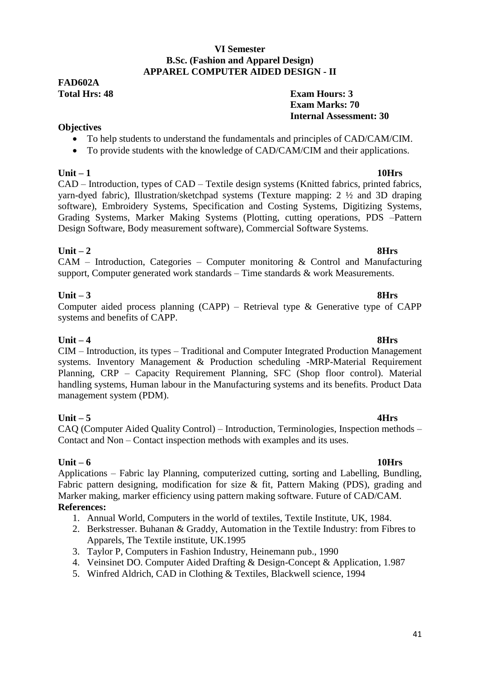#### **VI Semester B.Sc. (Fashion and Apparel Design) APPAREL COMPUTER AIDED DESIGN - II**

## **FAD602A**

### **Total Hrs: 48 Exam Hours: 3 Exam Marks: 70 Internal Assessment: 30**

### **Objectives**

- To help students to understand the fundamentals and principles of CAD/CAM/CIM.
- To provide students with the knowledge of CAD/CAM/CIM and their applications.

**Unit – 1 10Hrs** CAD – Introduction, types of CAD – Textile design systems (Knitted fabrics, printed fabrics, yarn-dyed fabric), Illustration/sketchpad systems (Texture mapping: 2 ½ and 3D draping software), Embroidery Systems, Specification and Costing Systems, Digitizing Systems, Grading Systems, Marker Making Systems (Plotting, cutting operations, PDS –Pattern Design Software, Body measurement software), Commercial Software Systems.

**Unit – 2 8Hrs** CAM – Introduction, Categories – Computer monitoring & Control and Manufacturing support, Computer generated work standards – Time standards & work Measurements.

### **Unit – 3 8Hrs**

### Computer aided process planning (CAPP) – Retrieval type & Generative type of CAPP systems and benefits of CAPP.

**Unit – 4 8Hrs** CIM – Introduction, its types – Traditional and Computer Integrated Production Management systems. Inventory Management & Production scheduling -MRP-Material Requirement Planning, CRP – Capacity Requirement Planning, SFC (Shop floor control). Material handling systems, Human labour in the Manufacturing systems and its benefits. Product Data management system (PDM).

**Unit – 5 4Hrs** CAQ (Computer Aided Quality Control) – Introduction, Terminologies, Inspection methods – Contact and Non – Contact inspection methods with examples and its uses.

**Unit – 6 10Hrs** Applications – Fabric lay Planning, computerized cutting, sorting and Labelling, Bundling, Fabric pattern designing, modification for size & fit, Pattern Making (PDS), grading and Marker making, marker efficiency using pattern making software. Future of CAD/CAM. **References:** 

### 1. Annual World, Computers in the world of textiles, Textile Institute, UK, 1984.

- 2. Berkstresser. Buhanan & Graddy, Automation in the Textile Industry: from Fibres to Apparels, The Textile institute, UK.1995
- 3. Taylor P, Computers in Fashion Industry, Heinemann pub., 1990
- 4. Veinsinet DO. Computer Aided Drafting & Design-Concept & Application, 1.987
- 5. Winfred Aldrich, CAD in Clothing & Textiles, Blackwell science, 1994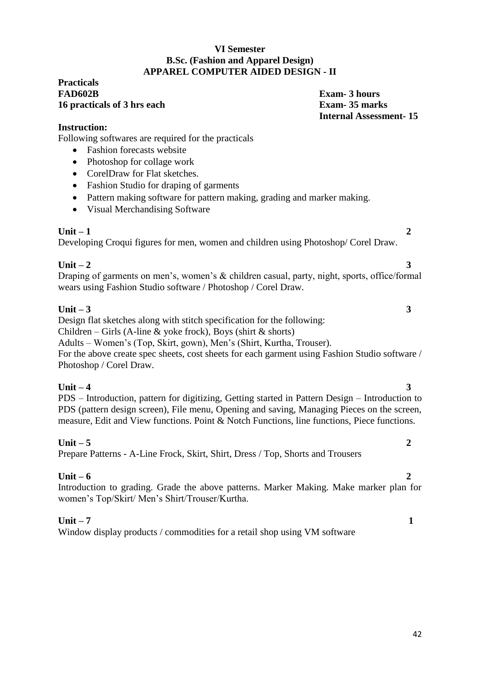#### **VI Semester B.Sc. (Fashion and Apparel Design) APPAREL COMPUTER AIDED DESIGN - II**

#### **Practicals FAD602B Exam- 3 hours 16 practicals of 3 hrs each Exam- 35 marks**

**Internal Assessment- 15**

### **Instruction:**

Following softwares are required for the practicals

- Fashion forecasts website
- Photoshop for collage work
- CorelDraw for Flat sketches.
- Fashion Studio for draping of garments
- Pattern making software for pattern making, grading and marker making.
- Visual Merchandising Software

### **Unit – 1 2**

Developing Croqui figures for men, women and children using Photoshop/ Corel Draw.

### **Unit – 2 3**

Draping of garments on men's, women's & children casual, party, night, sports, office/formal wears using Fashion Studio software / Photoshop / Corel Draw.

### **Unit – 3 3**

Design flat sketches along with stitch specification for the following:

Children – Girls (A-line & yoke frock), Boys (shirt & shorts)

Adults – Women's (Top, Skirt, gown), Men's (Shirt, Kurtha, Trouser).

For the above create spec sheets, cost sheets for each garment using Fashion Studio software / Photoshop / Corel Draw.

**Unit – 4** 3 PDS – Introduction, pattern for digitizing, Getting started in Pattern Design – Introduction to PDS (pattern design screen), File menu, Opening and saving, Managing Pieces on the screen, measure, Edit and View functions. Point & Notch Functions, line functions, Piece functions.

### **Unit – 5 2**

Prepare Patterns - A-Line Frock, Skirt, Shirt, Dress / Top, Shorts and Trousers

### **Unit – 6 2**

Introduction to grading. Grade the above patterns. Marker Making. Make marker plan for women's Top/Skirt/ Men's Shirt/Trouser/Kurtha.

### **Unit – 7 1**

Window display products / commodities for a retail shop using VM software

- 
-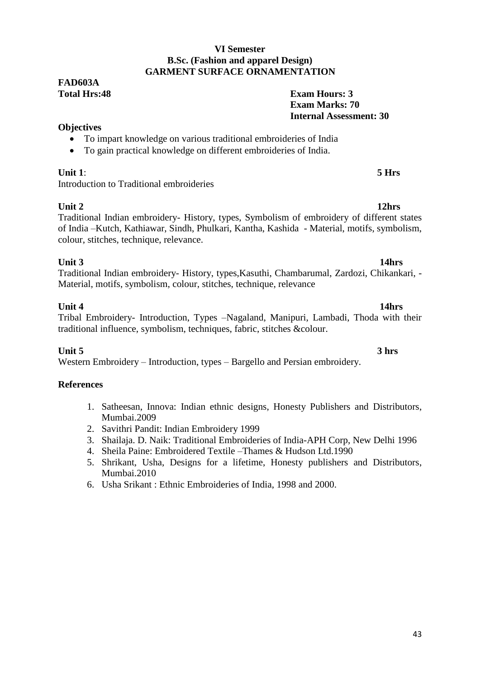#### **VI Semester B.Sc. (Fashion and apparel Design) GARMENT SURFACE ORNAMENTATION**

## **FAD603A**

### **Total Hrs:48 Exam Hours: 3 Exam Marks: 70 Internal Assessment: 30**

### **Objectives**

- To impart knowledge on various traditional embroideries of India
- To gain practical knowledge on different embroideries of India.

### **Unit 1**: **5 Hrs**

Introduction to Traditional embroideries

**Unit 2 12hrs** Traditional Indian embroidery- History, types, Symbolism of embroidery of different states of India –Kutch, Kathiawar, Sindh, Phulkari, Kantha, Kashida - Material, motifs, symbolism, colour, stitches, technique, relevance.

**Unit 3 14hrs** Traditional Indian embroidery- History, types,Kasuthi, Chambarumal, Zardozi, Chikankari, - Material, motifs, symbolism, colour, stitches, technique, relevance

### **Unit 4 14hrs**

### Tribal Embroidery- Introduction, Types –Nagaland, Manipuri, Lambadi, Thoda with their traditional influence, symbolism, techniques, fabric, stitches &colour.

**Unit 5 3 hrs** Western Embroidery – Introduction, types – Bargello and Persian embroidery.

### **References**

- 1. Satheesan, Innova: Indian ethnic designs, Honesty Publishers and Distributors, Mumbai.2009
- 2. Savithri Pandit: Indian Embroidery 1999
- 3. Shailaja. D. Naik: Traditional Embroideries of India-APH Corp, New Delhi 1996
- 4. Sheila Paine: Embroidered Textile –Thames & Hudson Ltd.1990
- 5. Shrikant, Usha, Designs for a lifetime, Honesty publishers and Distributors, Mumbai.2010
- 6. Usha Srikant : Ethnic Embroideries of India, 1998 and 2000.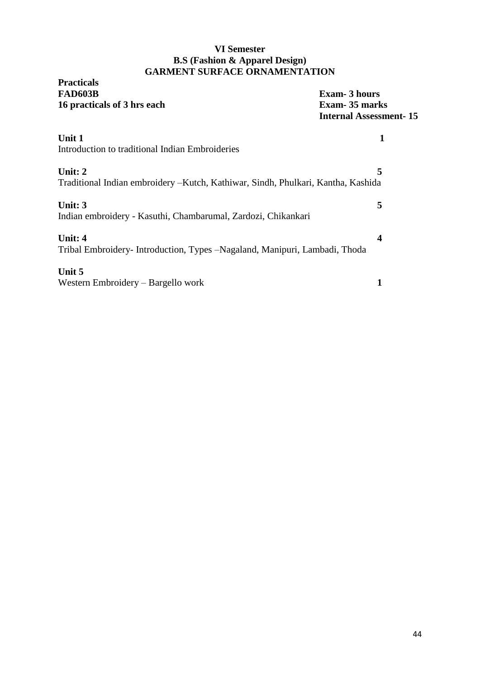### **VI Semester B.S (Fashion & Apparel Design) GARMENT SURFACE ORNAMENTATION**

## **Practicals 16 practicals of 3 hrs each**

**Exam-** 3 hours<br>**Exam-** 35 marks **Internal Assessment- 15**

| Unit 1                                                                            |   |
|-----------------------------------------------------------------------------------|---|
| Introduction to traditional Indian Embroideries                                   |   |
| Unit: $2$                                                                         | 5 |
| Traditional Indian embroidery – Kutch, Kathiwar, Sindh, Phulkari, Kantha, Kashida |   |
| Unit: 3                                                                           | 5 |
| Indian embroidery - Kasuthi, Chambarumal, Zardozi, Chikankari                     |   |
| Unit: 4                                                                           |   |
| Tribal Embroidery-Introduction, Types –Nagaland, Manipuri, Lambadi, Thoda         |   |
| Unit 5                                                                            |   |
| Western Embroidery – Bargello work                                                |   |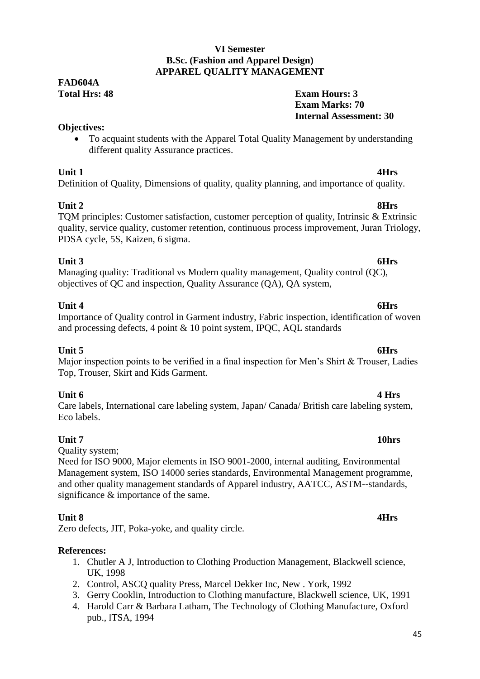### **VI Semester B.Sc. (Fashion and Apparel Design) APPAREL QUALITY MANAGEMENT**

## **FAD604A**

### **Total Hrs: 48 Exam Hours: 3 Exam Marks: 70 Internal Assessment: 30**

### **Objectives:**

 To acquaint students with the Apparel Total Quality Management by understanding different quality Assurance practices.

**Unit 1 4Hrs** Definition of Quality, Dimensions of quality, quality planning, and importance of quality.

#### **Unit 2 8Hrs** TQM principles: Customer satisfaction, customer perception of quality, Intrinsic & Extrinsic quality, service quality, customer retention, continuous process improvement, Juran Triology, PDSA cycle, 5S, Kaizen, 6 sigma.

### **Unit 3 6Hrs**

Managing quality: Traditional vs Modern quality management, Quality control (QC), objectives of QC and inspection, Quality Assurance (QA), QA system,

### **Unit 4 6Hrs**

### Importance of Quality control in Garment industry, Fabric inspection, identification of woven and processing defects, 4 point & 10 point system, IPQC, AQL standards

### **Unit 5 6Hrs**

### Major inspection points to be verified in a final inspection for Men's Shirt & Trouser, Ladies Top, Trouser, Skirt and Kids Garment.

**Unit 6 4 Hrs** Care labels, International care labeling system, Japan/ Canada/ British care labeling system, Eco labels.

### **Unit 7 10hrs**

Quality system;

Need for ISO 9000, Major elements in ISO 9001-2000, internal auditing, Environmental Management system, ISO 14000 series standards, Environmental Management programme, and other quality management standards of Apparel industry, AATCC, ASTM--standards, significance & importance of the same.

### **Unit 8 4Hrs**

Zero defects, JIT, Poka-yoke, and quality circle.

### **References:**

- 1. Chutler A J, Introduction to Clothing Production Management, Blackwell science, UK, 1998
- 2. Control, ASCQ quality Press, Marcel Dekker Inc, New . York, 1992
- 3. Gerry Cooklin, Introduction to Clothing manufacture, Blackwell science, UK, 1991
- 4. Harold Carr & Barbara Latham, The Technology of Clothing Manufacture, Oxford pub., lTSA, 1994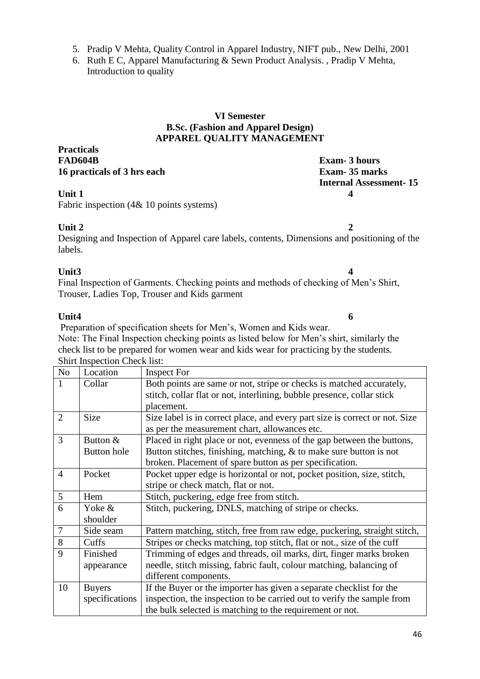6. Ruth E C, Apparel Manufacturing & Sewn Product Analysis. , Pradip V Mehta, Introduction to quality

#### **VI Semester B.Sc. (Fashion and Apparel Design) APPAREL QUALITY MANAGEMENT**

**Practicals FAD604B Exam- 3 hours 16 practicals of 3 hrs each Exam- 35 marks**

Fabric inspection (4& 10 points systems)

### **Unit 2 2**

Designing and Inspection of Apparel care labels, contents, Dimensions and positioning of the labels.

### **Unit3 4**

Final Inspection of Garments. Checking points and methods of checking of Men's Shirt, Trouser, Ladies Top, Trouser and Kids garment

### **Unit4 6**

Preparation of specification sheets for Men's, Women and Kids wear. Note: The Final Inspection checking points as listed below for Men's shirt, similarly the check list to be prepared for women wear and kids wear for practicing by the students. Shirt Inspection Check list:

| N <sub>o</sub> | Location           | <b>Inspect For</b>                                                          |  |  |
|----------------|--------------------|-----------------------------------------------------------------------------|--|--|
|                | Collar             | Both points are same or not, stripe or checks is matched accurately,        |  |  |
|                |                    | stitch, collar flat or not, interlining, bubble presence, collar stick      |  |  |
|                |                    | placement.                                                                  |  |  |
| $\overline{2}$ | Size               | Size label is in correct place, and every part size is correct or not. Size |  |  |
|                |                    | as per the measurement chart, allowances etc.                               |  |  |
| 3              | Button &           | Placed in right place or not, evenness of the gap between the buttons,      |  |  |
|                | <b>Button</b> hole | Button stitches, finishing, matching, $\&$ to make sure button is not       |  |  |
|                |                    | broken. Placement of spare button as per specification.                     |  |  |
| $\overline{4}$ | Pocket             | Pocket upper edge is horizontal or not, pocket position, size, stitch,      |  |  |
|                |                    | stripe or check match, flat or not.                                         |  |  |
| 5              | Hem                | Stitch, puckering, edge free from stitch.                                   |  |  |
| 6              | Yoke &             | Stitch, puckering, DNLS, matching of stripe or checks.                      |  |  |
|                | shoulder           |                                                                             |  |  |
| $\overline{7}$ | Side seam          | Pattern matching, stitch, free from raw edge, puckering, straight stitch,   |  |  |
| 8              | Cuffs              | Stripes or checks matching, top stitch, flat or not., size of the cuff      |  |  |
| 9              | Finished           | Trimming of edges and threads, oil marks, dirt, finger marks broken         |  |  |
|                | appearance         | needle, stitch missing, fabric fault, colour matching, balancing of         |  |  |
|                |                    | different components.                                                       |  |  |
| 10             | <b>Buyers</b>      | If the Buyer or the importer has given a separate checklist for the         |  |  |
|                | specifications     | inspection, the inspection to be carried out to verify the sample from      |  |  |
|                |                    | the bulk selected is matching to the requirement or not.                    |  |  |

**Internal Assessment- 15 Unit 1 4**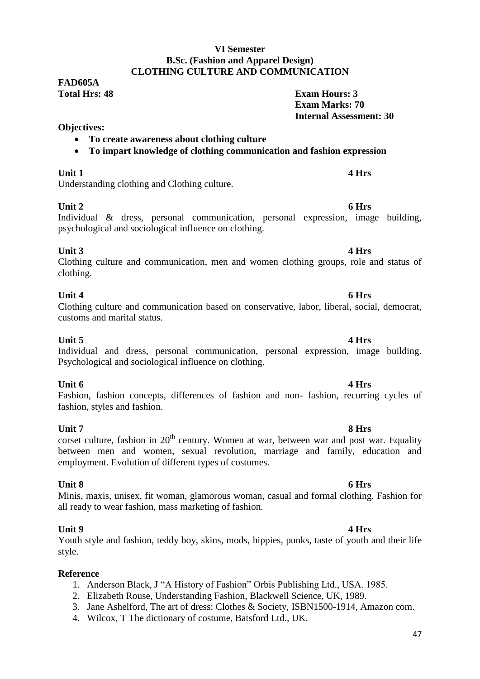#### 47

### **VI Semester B.Sc. (Fashion and Apparel Design) CLOTHING CULTURE AND COMMUNICATION**

**FAD605A Total Hrs: 48 Exam Hours: 3**

#### **Objectives:**

#### **To create awareness about clothing culture**

**To impart knowledge of clothing communication and fashion expression**

### **Unit 1 4 Hrs**

Understanding clothing and Clothing culture.

### **Unit 2 6 Hrs**

Individual & dress, personal communication, personal expression, image building, psychological and sociological influence on clothing.

### **Unit 3 4 Hrs**

Clothing culture and communication, men and women clothing groups, role and status of clothing.

### **Unit 4 6 Hrs**

### Clothing culture and communication based on conservative, labor, liberal, social, democrat, customs and marital status.

**Unit 5 4 Hrs** Individual and dress, personal communication, personal expression, image building. Psychological and sociological influence on clothing.

### **Unit 6 4 Hrs**

Fashion, fashion concepts, differences of fashion and non- fashion, recurring cycles of fashion, styles and fashion.

#### **Unit 7 8 Hrs** corset culture, fashion in  $20<sup>th</sup>$  century. Women at war, between war and post war. Equality between men and women, sexual revolution, marriage and family, education and employment. Evolution of different types of costumes.

### **Unit 8 6 Hrs**

Minis, maxis, unisex, fit woman, glamorous woman, casual and formal clothing. Fashion for all ready to wear fashion, mass marketing of fashion.

### **Unit 9 4 Hrs**

Youth style and fashion, teddy boy, skins, mods, hippies, punks, taste of youth and their life style.

### **Reference**

- 1. Anderson Black, J "A History of Fashion" Orbis Publishing Ltd., USA. 1985.
- 2. Elizabeth Rouse, Understanding Fashion, Blackwell Science, UK, 1989.
- 3. Jane Ashelford, The art of dress: Clothes & Society, ISBN1500-1914, Amazon com.
- 4. Wilcox, T The dictionary of costume, Batsford Ltd., UK.

 **Exam Marks: 70**

 **Internal Assessment: 30**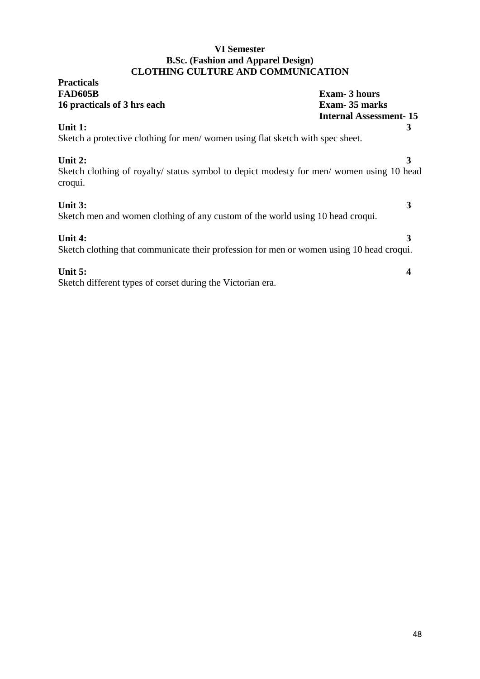### **VI Semester B.Sc. (Fashion and Apparel Design) CLOTHING CULTURE AND COMMUNICATION**

| <b>Practicals</b>                                                                                              |                               |
|----------------------------------------------------------------------------------------------------------------|-------------------------------|
| <b>FAD605B</b>                                                                                                 | <b>Exam-3 hours</b>           |
| 16 practicals of 3 hrs each                                                                                    | Exam - 35 marks               |
|                                                                                                                | <b>Internal Assessment-15</b> |
| Unit 1:                                                                                                        | 3                             |
| Sketch a protective clothing for men/women using flat sketch with spec sheet.                                  |                               |
| Unit 2:<br>Sketch clothing of royalty/ status symbol to depict modesty for men/ women using 10 head<br>croqui. | 3                             |
| Unit 3:<br>Sketch men and women clothing of any custom of the world using 10 head croqui.                      | 3                             |
| Unit 4:<br>Sketch clothing that communicate their profession for men or women using 10 head croqui.            |                               |
| Unit 5:<br>Sketch different types of corset during the Victorian era.                                          |                               |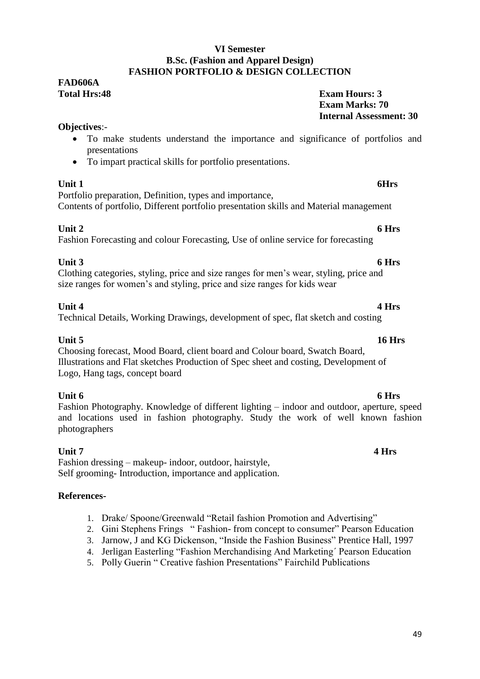#### **VI Semester B.Sc. (Fashion and Apparel Design) FASHION PORTFOLIO & DESIGN COLLECTION**

## **FAD606A**

**Total Hrs:48 Exam Hours: 3 Exam Marks: 70 Internal Assessment: 30**

### **Objectives**:-

- To make students understand the importance and significance of portfolios and presentations
- To impart practical skills for portfolio presentations.

### **Unit 1 6Hrs**

Portfolio preparation, Definition, types and importance, Contents of portfolio, Different portfolio presentation skills and Material management

### **Unit 2 6 Hrs**

Fashion Forecasting and colour Forecasting, Use of online service for forecasting

**Unit 3 6 Hrs** Clothing categories, styling, price and size ranges for men's wear, styling, price and size ranges for women's and styling, price and size ranges for kids wear

### **Unit 4 4 Hrs**

### Technical Details, Working Drawings, development of spec, flat sketch and costing

### **Unit 5 16 Hrs**

Choosing forecast, Mood Board, client board and Colour board, Swatch Board, Illustrations and Flat sketches Production of Spec sheet and costing, Development of Logo, Hang tags, concept board

**Unit 6 6 Hrs** Fashion Photography. Knowledge of different lighting – indoor and outdoor, aperture, speed and locations used in fashion photography. Study the work of well known fashion photographers

### **Unit 7 4 Hrs**

Fashion dressing – makeup- indoor, outdoor, hairstyle, Self grooming- Introduction, importance and application.

### **References-**

- 1. Drake/ Spoone/Greenwald "Retail fashion Promotion and Advertising"
- 2. Gini Stephens Frings " Fashion- from concept to consumer" Pearson Education
- 3. Jarnow, J and KG Dickenson, "Inside the Fashion Business" Prentice Hall, 1997
- 4. Jerligan Easterling "Fashion Merchandising And Marketing' Pearson Education
- 5. Polly Guerin " Creative fashion Presentations" Fairchild Publications